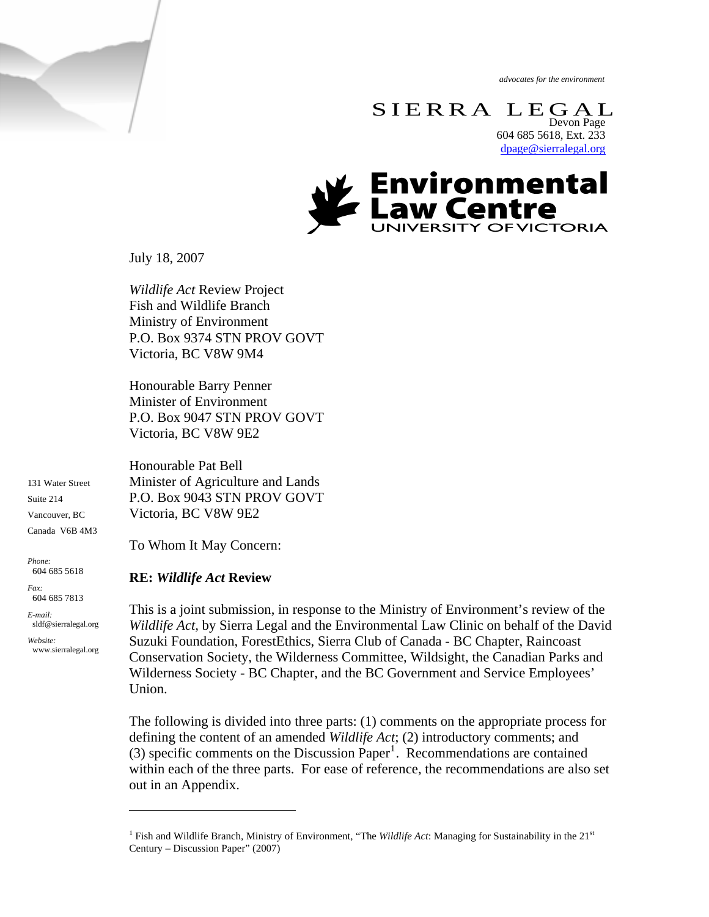*advocates for the environment* 

 $\begin{array}{ccc} \mathbf{S}\ \mathbf{I}\ \mathbf{E}\ \mathbf{R}\ \mathbf{R}\ \mathbf{A}\ \ \ \mathbf{L}\ \mathbf{E}\ \mathbf{G}\ \mathbf{A}\ \mathbf{L}\ \end{array}$ 604 685 5618, Ext. 233 [dpage@sierralegal.org](mailto:dpage@sierralegal.org)



July 18, 2007

*Wildlife Act* Review Project Fish and Wildlife Branch Ministry of Environment P.O. Box 9374 STN PROV GOVT Victoria, BC V8W 9M4

Honourable Barry Penner Minister of Environment P.O. Box 9047 STN PROV GOVT Victoria, BC V8W 9E2

131 Water Street Suite 214 Vancouver, BC Canada V6B 4M3

*Phone:*  604 685 5618

*Fax:*  604 685 7813

*E-mail:*  sldf@sierralegal.org

*Website:* www.sierralegal.org

 $\overline{a}$ 

Honourable Pat Bell Minister of Agriculture and Lands P.O. Box 9043 STN PROV GOVT Victoria, BC V8W 9E2

To Whom It May Concern:

#### **RE:** *Wildlife Act* **Review**

This is a joint submission, in response to the Ministry of Environment's review of the *Wildlife Act,* by Sierra Legal and the Environmental Law Clinic on behalf of the David Suzuki Foundation, ForestEthics, Sierra Club of Canada - BC Chapter, Raincoast Conservation Society, the Wilderness Committee, Wildsight, the Canadian Parks and Wilderness Society - BC Chapter, and the BC Government and Service Employees' Union.

The following is divided into three parts: (1) comments on the appropriate process for defining the content of an amended *Wildlife Act*; (2) introductory comments; and  $(3)$  specific comments on the Discussion Paper<sup>[1](#page-0-0)</sup>. Recommendations are contained within each of the three parts. For ease of reference, the recommendations are also set out in an Appendix.

<span id="page-0-0"></span><sup>&</sup>lt;sup>1</sup> Fish and Wildlife Branch, Ministry of Environment, "The *Wildlife Act*: Managing for Sustainability in the  $21<sup>st</sup>$ Century – Discussion Paper" (2007)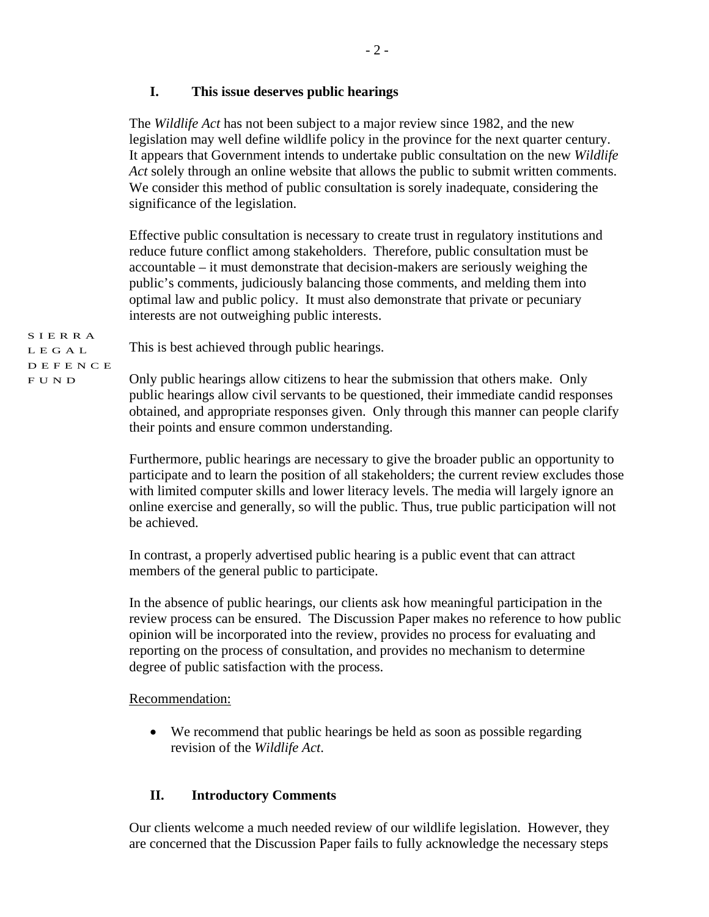### **I. This issue deserves public hearings**

This is best achieved through public hearings.

The *Wildlife Act* has not been subject to a major review since 1982, and the new legislation may well define wildlife policy in the province for the next quarter century. It appears that Government intends to undertake public consultation on the new *Wildlife Act* solely through an online website that allows the public to submit written comments. We consider this method of public consultation is sorely inadequate, considering the significance of the legislation.

Effective public consultation is necessary to create trust in regulatory institutions and reduce future conflict among stakeholders. Therefore, public consultation must be accountable – it must demonstrate that decision-makers are seriously weighing the public's comments, judiciously balancing those comments, and melding them into optimal law and public policy. It must also demonstrate that private or pecuniary interests are not outweighing public interests.

SIERRA LEGAL DEFENCE

FUND

Only public hearings allow citizens to hear the submission that others make. Only public hearings allow civil servants to be questioned, their immediate candid responses obtained, and appropriate responses given. Only through this manner can people clarify their points and ensure common understanding.

Furthermore, public hearings are necessary to give the broader public an opportunity to participate and to learn the position of all stakeholders; the current review excludes those with limited computer skills and lower literacy levels. The media will largely ignore an online exercise and generally, so will the public. Thus, true public participation will not be achieved.

In contrast, a properly advertised public hearing is a public event that can attract members of the general public to participate.

In the absence of public hearings, our clients ask how meaningful participation in the review process can be ensured. The Discussion Paper makes no reference to how public opinion will be incorporated into the review, provides no process for evaluating and reporting on the process of consultation, and provides no mechanism to determine degree of public satisfaction with the process.

#### Recommendation:

• We recommend that public hearings be held as soon as possible regarding revision of the *Wildlife Act*.

# **II. Introductory Comments**

Our clients welcome a much needed review of our wildlife legislation. However, they are concerned that the Discussion Paper fails to fully acknowledge the necessary steps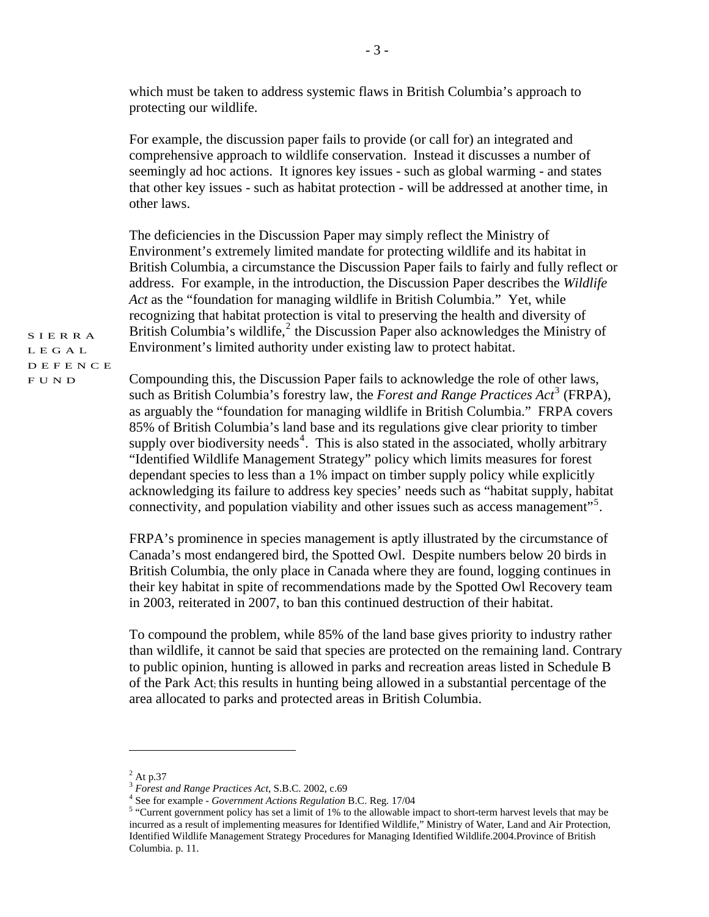which must be taken to address systemic flaws in British Columbia's approach to protecting our wildlife.

For example, the discussion paper fails to provide (or call for) an integrated and comprehensive approach to wildlife conservation. Instead it discusses a number of seemingly ad hoc actions. It ignores key issues - such as global warming - and states that other key issues - such as habitat protection - will be addressed at another time, in other laws.

The deficiencies in the Discussion Paper may simply reflect the Ministry of Environment's extremely limited mandate for protecting wildlife and its habitat in British Columbia, a circumstance the Discussion Paper fails to fairly and fully reflect or address. For example, in the introduction, the Discussion Paper describes the *Wildlife Act* as the "foundation for managing wildlife in British Columbia." Yet, while recognizing that habitat protection is vital to preserving the health and diversity of British Columbia's wildlife,<sup>[2](#page-2-0)</sup> the Discussion Paper also acknowledges the Ministry of Environment's limited authority under existing law to protect habitat.

SIERRA LEGAL DEFENCE FUND

Compounding this, the Discussion Paper fails to acknowledge the role of other laws, such as British Columbia's forestry law, the *Forest and Range Practices Act*<sup>[3](#page-2-1)</sup> (FRPA), as arguably the "foundation for managing wildlife in British Columbia." FRPA covers 85% of British Columbia's land base and its regulations give clear priority to timber supply over biodiversity needs<sup>[4](#page-2-2)</sup>. This is also stated in the associated, wholly arbitrary "Identified Wildlife Management Strategy" policy which limits measures for forest dependant species to less than a 1% impact on timber supply policy while explicitly acknowledging its failure to address key species' needs such as "habitat supply, habitat connectivity, and population viability and other issues such as access management"<sup>[5](#page-2-3)</sup>.

FRPA's prominence in species management is aptly illustrated by the circumstance of Canada's most endangered bird, the Spotted Owl. Despite numbers below 20 birds in British Columbia, the only place in Canada where they are found, logging continues in their key habitat in spite of recommendations made by the Spotted Owl Recovery team in 2003, reiterated in 2007, to ban this continued destruction of their habitat.

To compound the problem, while 85% of the land base gives priority to industry rather than wildlife, it cannot be said that species are protected on the remaining land. Contrary to public opinion, hunting is allowed in parks and recreation areas listed in Schedule B of the Park Act; this results in hunting being allowed in a substantial percentage of the area allocated to parks and protected areas in British Columbia.

<span id="page-2-0"></span> $2$  At p.37

<span id="page-2-1"></span><sup>3</sup> *Forest and Range Practices Act*, S.B.C. 2002, c.69 4

<sup>&</sup>lt;sup>4</sup> See for example - *Government Actions Regulation B.C. Reg.* 17/04

<span id="page-2-3"></span><span id="page-2-2"></span><sup>&</sup>lt;sup>5</sup> "Current government policy has set a limit of 1% to the allowable impact to short-term harvest levels that may be incurred as a result of implementing measures for Identified Wildlife," Ministry of Water, Land and Air Protection, Identified Wildlife Management Strategy Procedures for Managing Identified Wildlife.2004.Province of British Columbia. p. 11.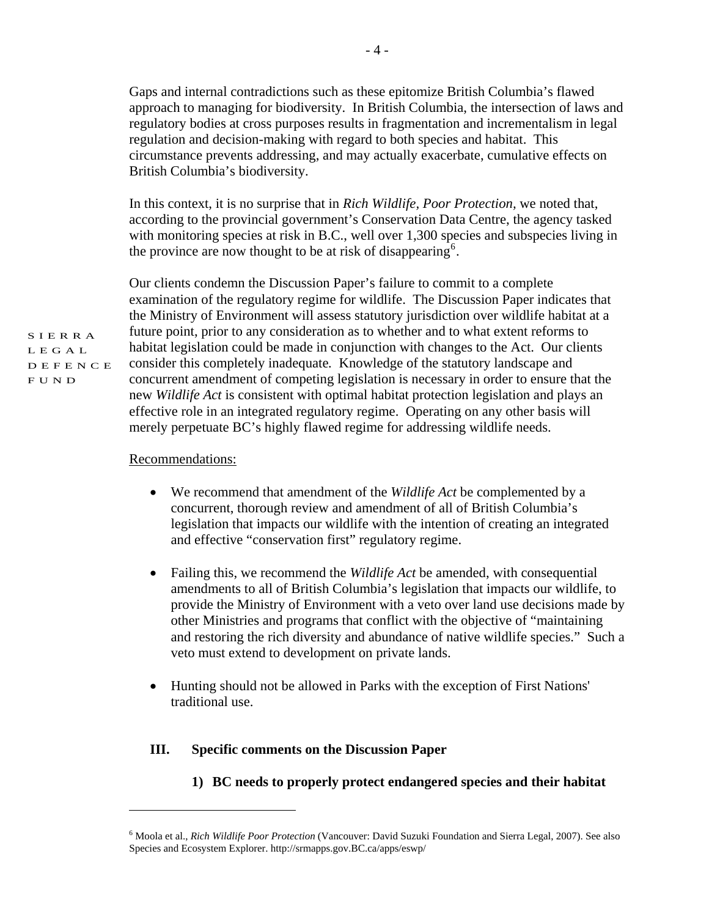Gaps and internal contradictions such as these epitomize British Columbia's flawed approach to managing for biodiversity. In British Columbia, the intersection of laws and regulatory bodies at cross purposes results in fragmentation and incrementalism in legal regulation and decision-making with regard to both species and habitat. This circumstance prevents addressing, and may actually exacerbate, cumulative effects on British Columbia's biodiversity.

In this context, it is no surprise that in *Rich Wildlife, Poor Protection,* we noted that, according to the provincial government's Conservation Data Centre, the agency tasked with monitoring species at risk in B.C., well over 1,300 species and subspecies living in the province are now thought to be at risk of disappearing<sup>[6](#page-3-0)</sup>.

Our clients condemn the Discussion Paper's failure to commit to a complete examination of the regulatory regime for wildlife. The Discussion Paper indicates that the Ministry of Environment will assess statutory jurisdiction over wildlife habitat at a future point, prior to any consideration as to whether and to what extent reforms to habitat legislation could be made in conjunction with changes to the Act. Our clients consider this completely inadequate*.* Knowledge of the statutory landscape and concurrent amendment of competing legislation is necessary in order to ensure that the new *Wildlife Act* is consistent with optimal habitat protection legislation and plays an effective role in an integrated regulatory regime. Operating on any other basis will merely perpetuate BC's highly flawed regime for addressing wildlife needs.

#### Recommendations:

 $\overline{a}$ 

- We recommend that amendment of the *Wildlife Act* be complemented by a concurrent, thorough review and amendment of all of British Columbia's legislation that impacts our wildlife with the intention of creating an integrated and effective "conservation first" regulatory regime.
- Failing this, we recommend the *Wildlife Act* be amended, with consequential amendments to all of British Columbia's legislation that impacts our wildlife, to provide the Ministry of Environment with a veto over land use decisions made by other Ministries and programs that conflict with the objective of "maintaining and restoring the rich diversity and abundance of native wildlife species." Such a veto must extend to development on private lands.
- Hunting should not be allowed in Parks with the exception of First Nations' traditional use.

#### **III. Specific comments on the Discussion Paper**

**1) BC needs to properly protect endangered species and their habitat** 

SIERRA LEGAL DEFENCE

FUND

<span id="page-3-0"></span><sup>6</sup> Moola et al., *Rich Wildlife Poor Protection* (Vancouver: David Suzuki Foundation and Sierra Legal, 2007). See also Species and Ecosystem Explorer. http://srmapps.gov.BC.ca/apps/eswp/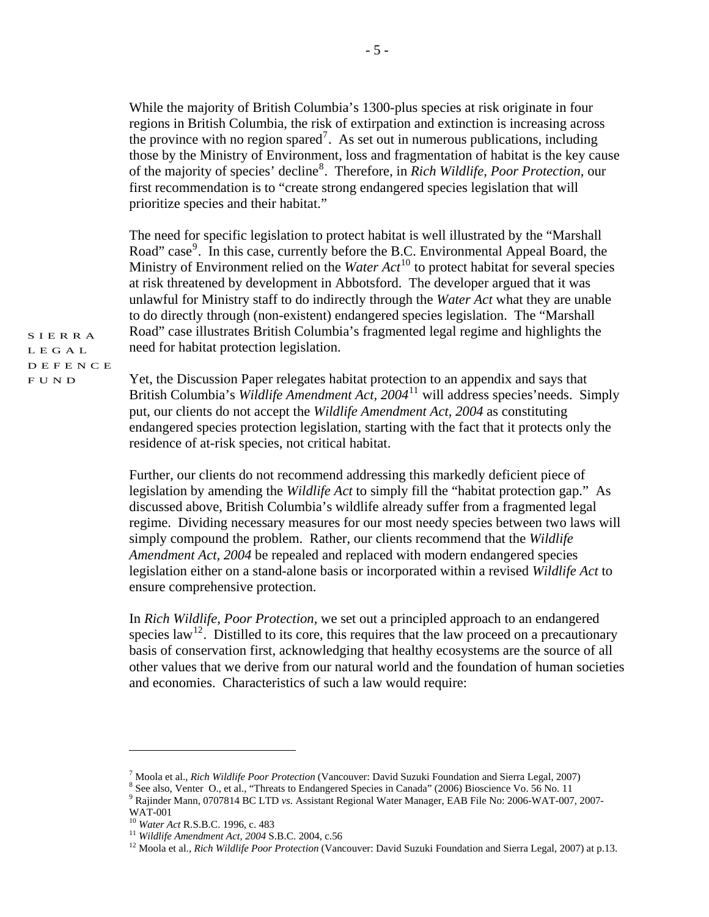While the majority of British Columbia's 1300-plus species at risk originate in four regions in British Columbia, the risk of extirpation and extinction is increasing across the province with no region spared<sup>[7](#page-4-0)</sup>. As set out in numerous publications, including those by the Ministry of Environment, loss and fragmentation of habitat is the key cause of the majority of species' decline[8](#page-4-1) . Therefore, in *Rich Wildlife, Poor Protection,* our first recommendation is to "create strong endangered species legislation that will prioritize species and their habitat."

The need for specific legislation to protect habitat is well illustrated by the "Marshall Road" case<sup>[9](#page-4-2)</sup>. In this case, currently before the B.C. Environmental Appeal Board, the Ministry of Environment relied on the *Water Act*<sup>[10](#page-4-3)</sup> to protect habitat for several species at risk threatened by development in Abbotsford. The developer argued that it was unlawful for Ministry staff to do indirectly through the *Water Act* what they are unable to do directly through (non-existent) endangered species legislation. The "Marshall Road" case illustrates British Columbia's fragmented legal regime and highlights the need for habitat protection legislation.

SIERRA LEGAL DEFENCE FUND

Yet, the Discussion Paper relegates habitat protection to an appendix and says that British Columbia's *Wildlife Amendment Act, 2004*[11](#page-4-4) will address species'needs. Simply put, our clients do not accept the *Wildlife Amendment Act, 2004* as constituting endangered species protection legislation, starting with the fact that it protects only the residence of at-risk species, not critical habitat.

Further, our clients do not recommend addressing this markedly deficient piece of legislation by amending the *Wildlife Act* to simply fill the "habitat protection gap." As discussed above, British Columbia's wildlife already suffer from a fragmented legal regime. Dividing necessary measures for our most needy species between two laws will simply compound the problem. Rather, our clients recommend that the *Wildlife Amendment Act, 2004* be repealed and replaced with modern endangered species legislation either on a stand-alone basis or incorporated within a revised *Wildlife Act* to ensure comprehensive protection.

In *Rich Wildlife, Poor Protection,* we set out a principled approach to an endangered species law<sup>[12](#page-4-5)</sup>. Distilled to its core, this requires that the law proceed on a precautionary basis of conservation first, acknowledging that healthy ecosystems are the source of all other values that we derive from our natural world and the foundation of human societies and economies. Characteristics of such a law would require:

<sup>&</sup>lt;sup>7</sup> Moola et al., *Rich Wildlife Poor Protection* (Vancouver: David Suzuki Foundation and Sierra Legal, 2007) <sup>8</sup> See also Mantar O, at al. "Threats to Endangered Species in Canada" (2006) Biogeianae Ve, 56 No. 11

<span id="page-4-0"></span><sup>&</sup>lt;sup>8</sup> See also, Venter O., et al., "Threats to Endangered Species in Canada" (2006) Bioscience Vo. 56 No. 11

<span id="page-4-2"></span><span id="page-4-1"></span>Rajinder Mann, 0707814 BC LTD *vs.* Assistant Regional Water Manager, EAB File No: 2006-WAT-007, 2007- WAT-001<br><sup>10</sup> Water Act R.S.B.C. 1996, c. 483

<span id="page-4-3"></span>

<span id="page-4-5"></span><span id="page-4-4"></span><sup>&</sup>lt;sup>11</sup> *Wildlife Amendment Act, 2004* S.B.C. 2004, c.56<br><sup>12</sup> Moola et al., *Rich Wildlife Poor Protection* (Vancouver: David Suzuki Foundation and Sierra Legal, 2007) at p.13.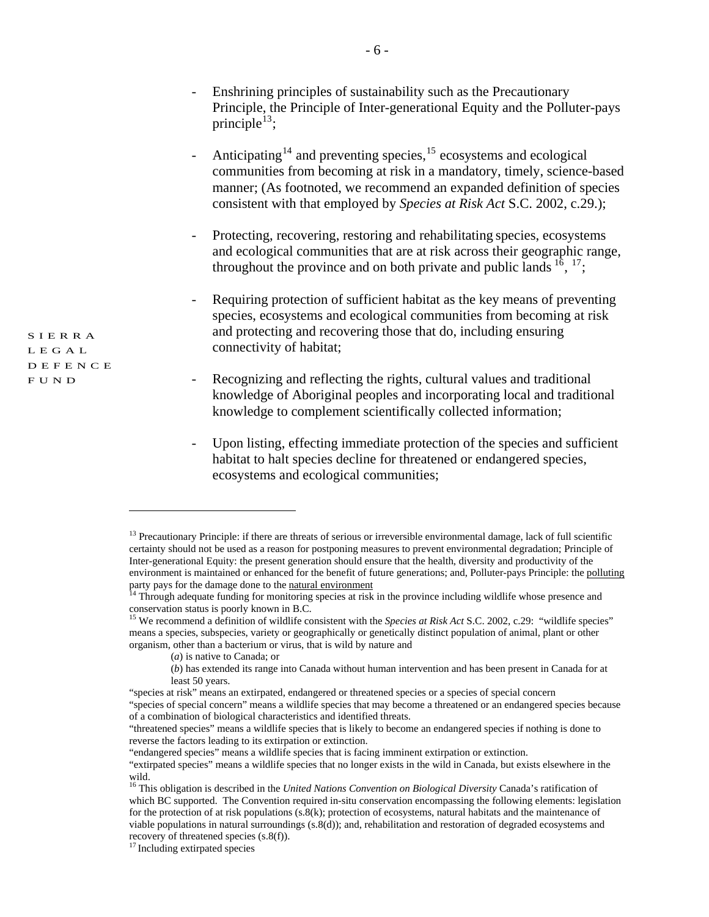- Enshrining principles of sustainability such as the Precautionary Principle, the Principle of Inter-generational Equity and the Polluter-pays principle<sup>[13](#page-5-0)</sup>;
- Anticipating<sup>[14](#page-5-1)</sup> and preventing species,<sup>15</sup> ecosystems and ecological communities from becoming at risk in a mandatory, timely, science-based manner; (As footnoted, we recommend an expanded definition of species consistent with that employed by *Species at Risk Act* S.C. 2002, c.29.);
- Protecting, recovering, restoring and rehabilitating species, ecosystems and ecological communities that are at risk across their geographic range, throughout the province and on both private and public lands  $^{16}$  $^{16}$  $^{16}$ ,  $^{17}$  $^{17}$  $^{17}$ ;
- Requiring protection of sufficient habitat as the key means of preventing species, ecosystems and ecological communities from becoming at risk and protecting and recovering those that do, including ensuring connectivity of habitat;
- Recognizing and reflecting the rights, cultural values and traditional knowledge of Aboriginal peoples and incorporating local and traditional knowledge to complement scientifically collected information;
- Upon listing, effecting immediate protection of the species and sufficient habitat to halt species decline for threatened or endangered species, ecosystems and ecological communities;

SIERRA LEGAL DEFENCE FUND

<span id="page-5-0"></span> $<sup>13</sup>$  Precautionary Principle: if there are threats of serious or irreversible environmental damage, lack of full scientific</sup> certainty should not be used as a reason for postponing measures to prevent environmental degradation; Principle of Inter-generational Equity: the present generation should ensure that the health, diversity and productivity of the environment is maintained or enhanced for the benefit of future generations; and, Polluter-pays Principle: the [polluting](http://en.wikipedia.org/wiki/Pollution) party pays for the damage done to the <u>[natural environment](http://en.wikipedia.org/wiki/Natural_environment)</u><br><sup>14</sup> Through adequate funding for monitoring species at risk in the province including wildlife whose presence and

<span id="page-5-1"></span>conservation status is poorly known in B.C.

<span id="page-5-2"></span><sup>&</sup>lt;sup>15</sup> We recommend a definition of wildlife consistent with the *Species at Risk Act* S.C. 2002, c.29: "wildlife species" means a species, subspecies, variety or geographically or genetically distinct population of animal, plant or other organism, other than a bacterium or virus, that is wild by nature and

<sup>(</sup>*a*) is native to Canada; or

<sup>(</sup>*b*) has extended its range into Canada without human intervention and has been present in Canada for at least 50 years.

<sup>&</sup>quot;species at risk" means an extirpated, endangered or threatened species or a species of special concern "species of special concern" means a wildlife species that may become a threatened or an endangered species because of a combination of biological characteristics and identified threats.

<sup>&</sup>quot;threatened species" means a wildlife species that is likely to become an endangered species if nothing is done to reverse the factors leading to its extirpation or extinction.

<sup>&</sup>quot;endangered species" means a wildlife species that is facing imminent extirpation or extinction.

<sup>&</sup>quot;extirpated species" means a wildlife species that no longer exists in the wild in Canada, but exists elsewhere in the wild.

<span id="page-5-3"></span><sup>16</sup> This obligation is described in the *United Nations Convention on Biological Diversity* Canada's ratification of which BC supported. The Convention required in-situ conservation encompassing the following elements: legislation for the protection of at risk populations (s.8(k); protection of ecosystems, natural habitats and the maintenance of viable populations in natural surroundings (s.8(d)); and, rehabilitation and restoration of degraded ecosystems and recovery of threatened species (s.8(f)).

<span id="page-5-4"></span><sup>&</sup>lt;sup>17</sup> Including extirpated species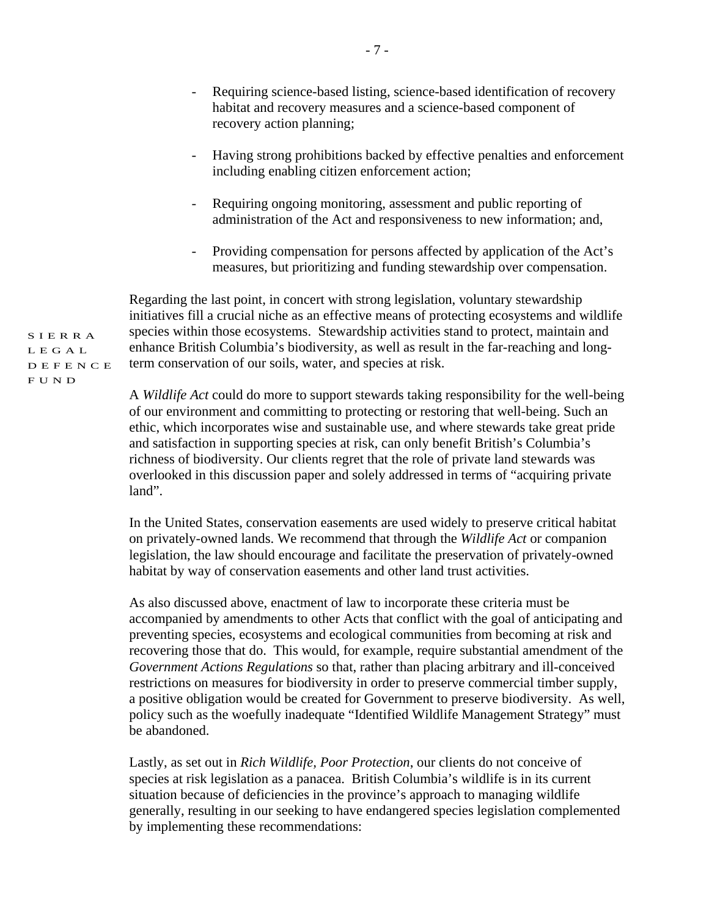- Requiring science-based listing, science-based identification of recovery habitat and recovery measures and a science-based component of recovery action planning;
- Having strong prohibitions backed by effective penalties and enforcement including enabling citizen enforcement action;
- Requiring ongoing monitoring, assessment and public reporting of administration of the Act and responsiveness to new information; and,
- Providing compensation for persons affected by application of the Act's measures, but prioritizing and funding stewardship over compensation.

Regarding the last point, in concert with strong legislation, voluntary stewardship initiatives fill a crucial niche as an effective means of protecting ecosystems and wildlife species within those ecosystems. Stewardship activities stand to protect, maintain and enhance British Columbia's biodiversity, as well as result in the far-reaching and longterm conservation of our soils, water, and species at risk.

A *Wildlife Act* could do more to support stewards taking responsibility for the well-being of our environment and committing to protecting or restoring that well-being. Such an ethic, which incorporates wise and sustainable use, and where stewards take great pride and satisfaction in supporting species at risk, can only benefit British's Columbia's richness of biodiversity. Our clients regret that the role of private land stewards was overlooked in this discussion paper and solely addressed in terms of "acquiring private land".

In the United States, conservation easements are used widely to preserve critical habitat on privately-owned lands. We recommend that through the *Wildlife Act* or companion legislation, the law should encourage and facilitate the preservation of privately-owned habitat by way of conservation easements and other land trust activities.

As also discussed above, enactment of law to incorporate these criteria must be accompanied by amendments to other Acts that conflict with the goal of anticipating and preventing species, ecosystems and ecological communities from becoming at risk and recovering those that do. This would, for example, require substantial amendment of the *Government Actions Regulations* so that, rather than placing arbitrary and ill-conceived restrictions on measures for biodiversity in order to preserve commercial timber supply, a positive obligation would be created for Government to preserve biodiversity. As well, policy such as the woefully inadequate "Identified Wildlife Management Strategy" must be abandoned.

Lastly, as set out in *Rich Wildlife, Poor Protection*, our clients do not conceive of species at risk legislation as a panacea. British Columbia's wildlife is in its current situation because of deficiencies in the province's approach to managing wildlife generally, resulting in our seeking to have endangered species legislation complemented by implementing these recommendations: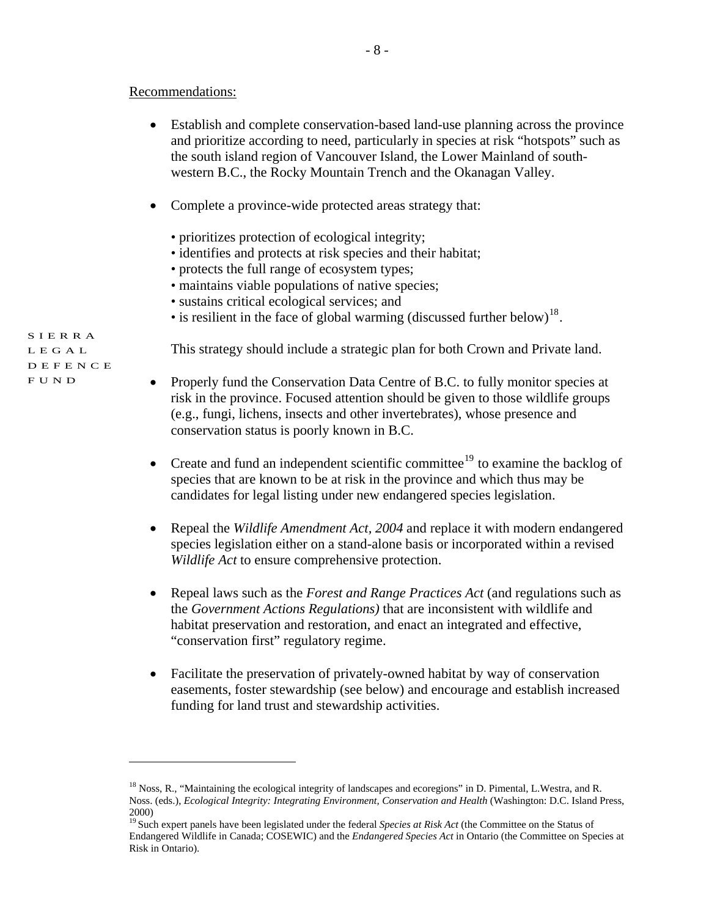- Establish and complete conservation-based land-use planning across the province and prioritize according to need, particularly in species at risk "hotspots" such as the south island region of Vancouver Island, the Lower Mainland of southwestern B.C., the Rocky Mountain Trench and the Okanagan Valley.
- Complete a province-wide protected areas strategy that:
	- prioritizes protection of ecological integrity;
	- identifies and protects at risk species and their habitat;
	- protects the full range of ecosystem types;
	- maintains viable populations of native species;
	- sustains critical ecological services; and
	- is resilient in the face of global warming (discussed further below)<sup>[18](#page-7-0)</sup>.

This strategy should include a strategic plan for both Crown and Private land.

- Properly fund the Conservation Data Centre of B.C. to fully monitor species at risk in the province. Focused attention should be given to those wildlife groups (e.g., fungi, lichens, insects and other invertebrates), whose presence and conservation status is poorly known in B.C.
- Create and fund an independent scientific committee<sup>[19](#page-7-1)</sup> to examine the backlog of species that are known to be at risk in the province and which thus may be candidates for legal listing under new endangered species legislation.
- Repeal the *Wildlife Amendment Act, 2004* and replace it with modern endangered species legislation either on a stand-alone basis or incorporated within a revised *Wildlife Act* to ensure comprehensive protection.
- Repeal laws such as the *Forest and Range Practices Act* (and regulations such as the *Government Actions Regulations)* that are inconsistent with wildlife and habitat preservation and restoration, and enact an integrated and effective, "conservation first" regulatory regime.
- Facilitate the preservation of privately-owned habitat by way of conservation easements, foster stewardship (see below) and encourage and establish increased funding for land trust and stewardship activities.

SIERRA LEGAL DEFENCE FUND

<span id="page-7-0"></span> $18$  Noss, R., "Maintaining the ecological integrity of landscapes and ecoregions" in D. Pimental, L.Westra, and R. Noss. (eds.), *Ecological Integrity: Integrating Environment, Conservation and Health* (Washington: D.C. Island Press, 2000)

<span id="page-7-1"></span><sup>&</sup>lt;sup>19</sup> Such expert panels have been legislated under the federal *Species at Risk Act* (the Committee on the Status of Endangered Wildlife in Canada; COSEWIC) and the *Endangered Species Act* in Ontario (the Committee on Species at Risk in Ontario).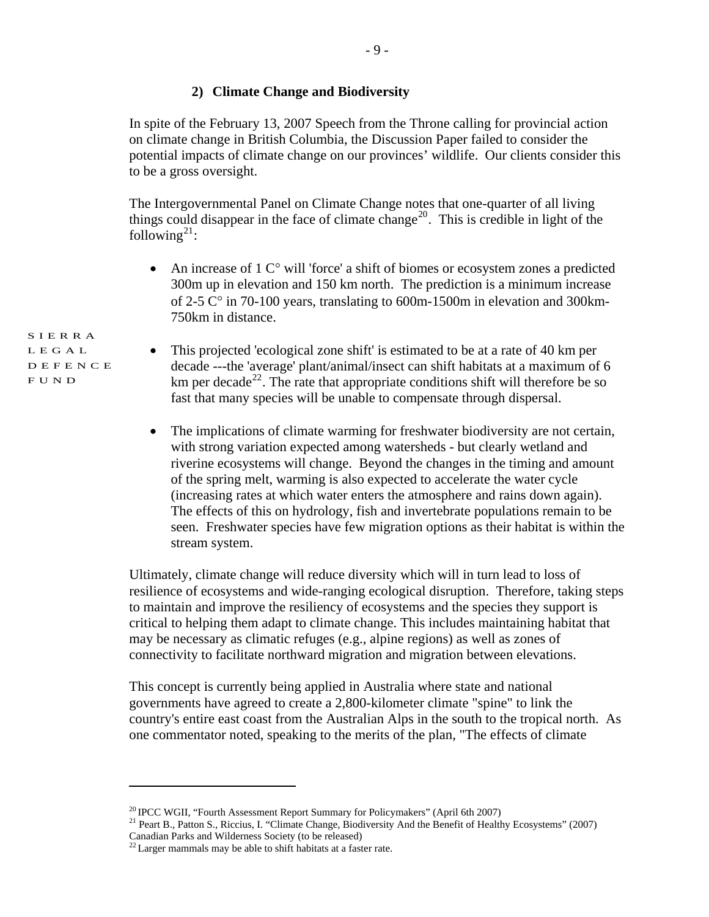#### **2) Climate Change and Biodiversity**

In spite of the February 13, 2007 Speech from the Throne calling for provincial action on climate change in British Columbia, the Discussion Paper failed to consider the potential impacts of climate change on our provinces' wildlife. Our clients consider this to be a gross oversight.

The Intergovernmental Panel on Climate Change notes that one-quarter of all living things could disappear in the face of climate change<sup>[20](#page-8-0)</sup>. This is credible in light of the following<sup>[21](#page-8-1)</sup>:

- An increase of  $1 \, \text{C}^\circ$  will 'force' a shift of biomes or ecosystem zones a predicted 300m up in elevation and 150 km north. The prediction is a minimum increase of 2-5 C° in 70-100 years, translating to 600m-1500m in elevation and 300km-750km in distance.
- This projected 'ecological zone shift' is estimated to be at a rate of 40 km per decade ---the 'average' plant/animal/insect can shift habitats at a maximum of 6 km per decade<sup>[22](#page-8-2)</sup>. The rate that appropriate conditions shift will therefore be so fast that many species will be unable to compensate through dispersal.
- The implications of climate warming for freshwater biodiversity are not certain, with strong variation expected among watersheds - but clearly wetland and riverine ecosystems will change. Beyond the changes in the timing and amount of the spring melt, warming is also expected to accelerate the water cycle (increasing rates at which water enters the atmosphere and rains down again). The effects of this on hydrology, fish and invertebrate populations remain to be seen. Freshwater species have few migration options as their habitat is within the stream system.

Ultimately, climate change will reduce diversity which will in turn lead to loss of resilience of ecosystems and wide-ranging ecological disruption. Therefore, taking steps to maintain and improve the resiliency of ecosystems and the species they support is critical to helping them adapt to climate change. This includes maintaining habitat that may be necessary as climatic refuges (e.g., alpine regions) as well as zones of connectivity to facilitate northward migration and migration between elevations.

This concept is currently being applied in Australia where state and national governments have agreed to create a 2,800-kilometer climate "spine" to link the country's entire east coast from the Australian Alps in the south to the tropical north. As one commentator noted, speaking to the merits of the plan, "The effects of climate

 $\overline{a}$ 

<span id="page-8-1"></span><span id="page-8-0"></span><sup>&</sup>lt;sup>20</sup> IPCC WGII, "Fourth Assessment Report Summary for Policymakers" (April 6th 2007)<br><sup>21</sup> Peart B., Patton S., Riccius, I. "Climate Change, Biodiversity And the Benefit of Healthy Ecosystems" (2007) Canadian Parks and Wilderness Society (to be released)

<span id="page-8-2"></span><sup>&</sup>lt;sup>22</sup> Larger mammals may be able to shift habitats at a faster rate.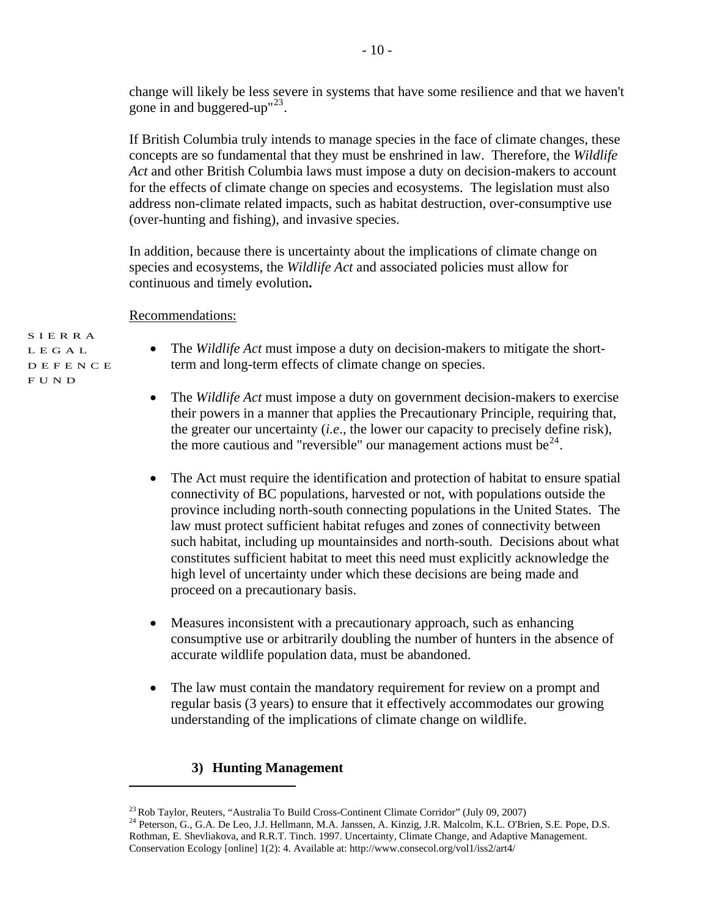change will likely be less severe in systems that have some resilience and that we haven't gone in and buggered-up" $^{23}$  $^{23}$  $^{23}$ .

If British Columbia truly intends to manage species in the face of climate changes, these concepts are so fundamental that they must be enshrined in law. Therefore, the *Wildlife Act* and other British Columbia laws must impose a duty on decision-makers to account for the effects of climate change on species and ecosystems. The legislation must also address non-climate related impacts, such as habitat destruction, over-consumptive use (over-hunting and fishing), and invasive species.

In addition, because there is uncertainty about the implications of climate change on species and ecosystems, the *Wildlife Act* and associated policies must allow for continuous and timely evolution**.** 

#### Recommendations:

SIERRA LEGAL DEFENCE FUND

- The *Wildlife Act* must impose a duty on decision-makers to mitigate the shortterm and long-term effects of climate change on species.
- The *Wildlife Act* must impose a duty on government decision-makers to exercise their powers in a manner that applies the Precautionary Principle, requiring that, the greater our uncertainty (*i.e*., the lower our capacity to precisely define risk), the more cautious and "reversible" our management actions must be $^{24}$  $^{24}$  $^{24}$ .
- The Act must require the identification and protection of habitat to ensure spatial connectivity of BC populations, harvested or not, with populations outside the province including north-south connecting populations in the United States. The law must protect sufficient habitat refuges and zones of connectivity between such habitat, including up mountainsides and north-south. Decisions about what constitutes sufficient habitat to meet this need must explicitly acknowledge the high level of uncertainty under which these decisions are being made and proceed on a precautionary basis.
- Measures inconsistent with a precautionary approach, such as enhancing consumptive use or arbitrarily doubling the number of hunters in the absence of accurate wildlife population data, must be abandoned.
- The law must contain the mandatory requirement for review on a prompt and regular basis (3 years) to ensure that it effectively accommodates our growing understanding of the implications of climate change on wildlife.

#### **3) Hunting Management**

<span id="page-9-1"></span><span id="page-9-0"></span><sup>&</sup>lt;sup>23</sup> Rob Taylor, Reuters, "Australia To Build Cross-Continent Climate Corridor" (July 09, 2007)<br><sup>24</sup> Peterson, G., G.A. De Leo, J.J. Hellmann, M.A. Janssen, A. Kinzig, J.R. Malcolm, K.L. O'Brien, S.E. Pope, D.S. Rothman, E. Shevliakova, and R.R.T. Tinch. 1997. Uncertainty, Climate Change, and Adaptive Management. Conservation Ecology [online] 1(2): 4. Available at: http://www.consecol.org/vol1/iss2/art4/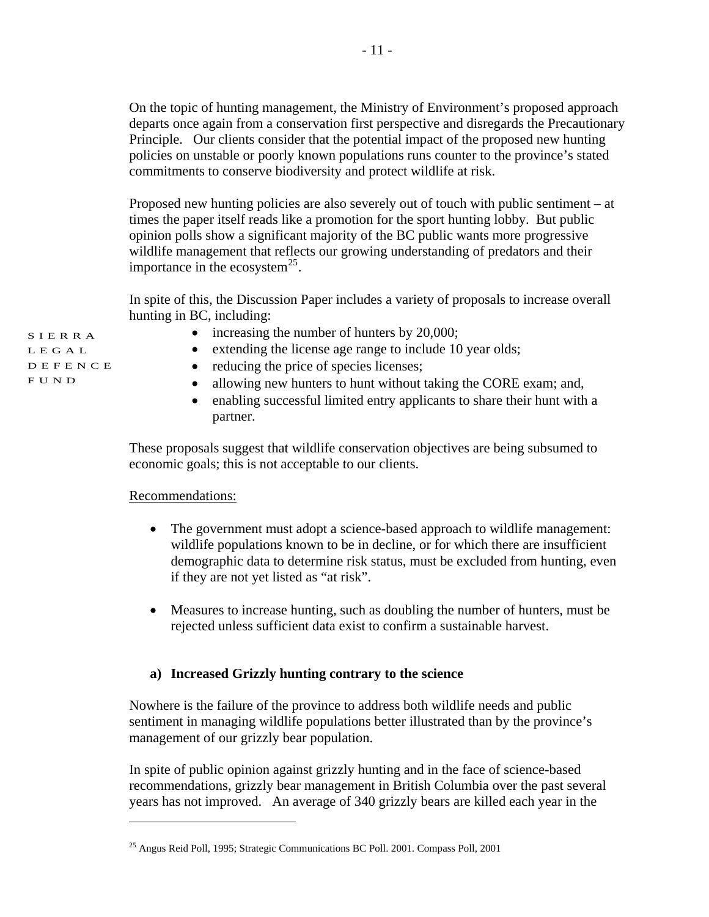On the topic of hunting management, the Ministry of Environment's proposed approach departs once again from a conservation first perspective and disregards the Precautionary Principle. Our clients consider that the potential impact of the proposed new hunting policies on unstable or poorly known populations runs counter to the province's stated commitments to conserve biodiversity and protect wildlife at risk.

Proposed new hunting policies are also severely out of touch with public sentiment – at times the paper itself reads like a promotion for the sport hunting lobby. But public opinion polls show a significant majority of the BC public wants more progressive wildlife management that reflects our growing understanding of predators and their importance in the ecosystem<sup>[25](#page-10-0)</sup>.

In spite of this, the Discussion Paper includes a variety of proposals to increase overall hunting in BC, including:

• increasing the number of hunters by 20,000;

- extending the license age range to include 10 year olds;
- reducing the price of species licenses;
- allowing new hunters to hunt without taking the CORE exam; and,
- enabling successful limited entry applicants to share their hunt with a partner.

These proposals suggest that wildlife conservation objectives are being subsumed to economic goals; this is not acceptable to our clients.

# Recommendations:

 $\overline{a}$ 

- The government must adopt a science-based approach to wildlife management: wildlife populations known to be in decline, or for which there are insufficient demographic data to determine risk status, must be excluded from hunting, even if they are not yet listed as "at risk".
- Measures to increase hunting, such as doubling the number of hunters, must be rejected unless sufficient data exist to confirm a sustainable harvest.

# **a) Increased Grizzly hunting contrary to the science**

Nowhere is the failure of the province to address both wildlife needs and public sentiment in managing wildlife populations better illustrated than by the province's management of our grizzly bear population.

In spite of public opinion against grizzly hunting and in the face of science-based recommendations, grizzly bear management in British Columbia over the past several years has not improved. An average of 340 grizzly bears are killed each year in the

<span id="page-10-0"></span><sup>25</sup> Angus Reid Poll, 1995; Strategic Communications BC Poll. 2001. Compass Poll, 2001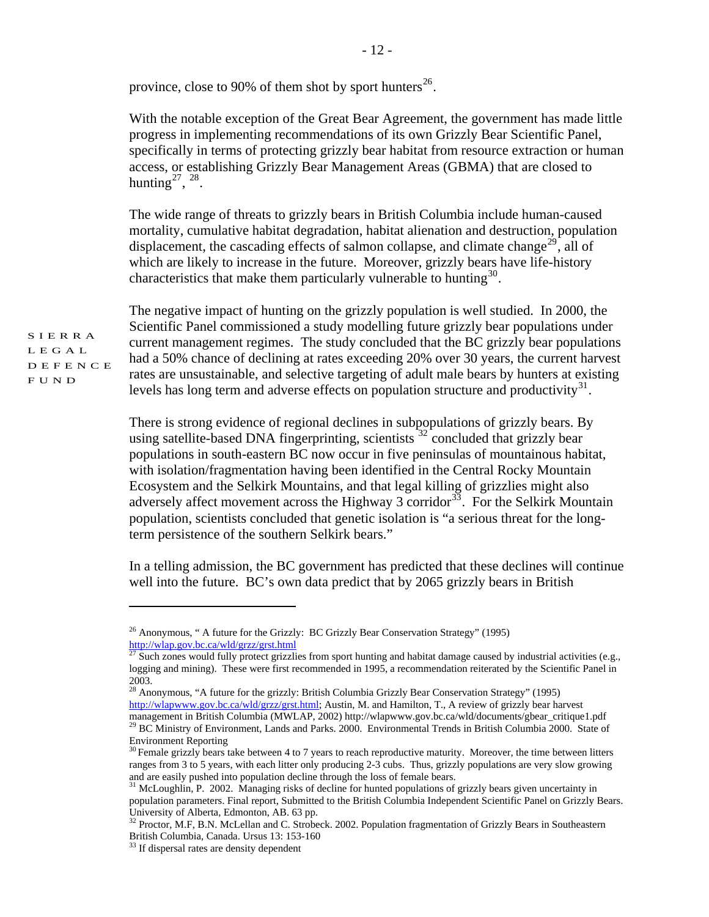province, close to 90% of them shot by sport hunters<sup>[26](#page-11-0)</sup>.

With the notable exception of the Great Bear Agreement, the government has made little progress in implementing recommendations of its own Grizzly Bear Scientific Panel, specifically in terms of protecting grizzly bear habitat from resource extraction or human access, or establishing Grizzly Bear Management Areas (GBMA) that are closed to hunting $27, 28$  $27, 28$  $27, 28$ .

The wide range of threats to grizzly bears in British Columbia include human-caused mortality, cumulative habitat degradation, habitat alienation and destruction, population displacement, the cascading effects of salmon collapse, and climate change<sup>[29](#page-11-3)</sup>, all of which are likely to increase in the future. Moreover, grizzly bears have life-history characteristics that make them particularly vulnerable to hunting<sup>[30](#page-11-4)</sup>.

The negative impact of hunting on the grizzly population is well studied. In 2000, the Scientific Panel commissioned a study modelling future grizzly bear populations under current management regimes. The study concluded that the BC grizzly bear populations had a 50% chance of declining at rates exceeding 20% over 30 years, the current harvest rates are unsustainable, and selective targeting of adult male bears by hunters at existing levels has long term and adverse effects on population structure and productivity $31$ .

There is strong evidence of regional declines in subpopulations of grizzly bears. By using satellite-based DNA fingerprinting, scientists  $32^{\circ}$  $32^{\circ}$  concluded that grizzly bear populations in south-eastern BC now occur in five peninsulas of mountainous habitat, with isolation/fragmentation having been identified in the Central Rocky Mountain Ecosystem and the Selkirk Mountains, and that legal killing of grizzlies might also adversely affect movement across the Highway 3 corridor<sup>[33](#page-11-7)</sup>. For the Selkirk Mountain population, scientists concluded that genetic isolation is "a serious threat for the longterm persistence of the southern Selkirk bears."

In a telling admission, the BC government has predicted that these declines will continue well into the future. BC's own data predict that by 2065 grizzly bears in British

SIERRA LEGAL DEFENCE FUND

<span id="page-11-0"></span><sup>&</sup>lt;sup>26</sup> Anonymous, " A future for the Grizzly: BC Grizzly Bear Conservation Strategy" (1995) http://wlap.gov.bc.ca/wld/grzz/grst.html

<span id="page-11-1"></span> $\frac{27}{27}$  Such zones would fully protect grizzlies from sport hunting and habitat damage caused by industrial activities (e.g., logging and mining). These were first recommended in 1995, a recommendation reiterated by the Scientific Panel in 2003.

<span id="page-11-2"></span><sup>&</sup>lt;sup>28</sup> Anonymous, "A future for the grizzly: British Columbia Grizzly Bear Conservation Strategy" (1995) [http://wlapwww.gov.bc.ca/wld/grzz/grst.html;](http://wlapwww.gov.bc.ca/wld/grzz/grst.html) Austin, M. and Hamilton, T., A review of grizzly bear harvest management in British Columbia (MWLAP, 2002) http://wlapwww.gov.bc.ca/wld/documents/gbear\_critique1.pdf <sup>29</sup> BC Ministry of Environment, Lands and Parks. 2000. Environmental Trends in British Columbia 2000. State of Environment Reporting

<span id="page-11-4"></span><span id="page-11-3"></span><sup>&</sup>lt;sup>30</sup> Female grizzly bears take between 4 to 7 years to reach reproductive maturity. Moreover, the time between litters ranges from 3 to 5 years, with each litter only producing 2-3 cubs. Thus, grizzly populations are very slow growing and are easily pushed into population decline through the loss of female bears.  $31$  McLoughlin, P. 2002. Managing risks of decline for hunted populations of grizzly bears given uncertainty in

<span id="page-11-5"></span>population parameters. Final report, Submitted to the British Columbia Independent Scientific Panel on Grizzly Bears. University of Alberta, Edmonton, AB. 63 pp.

<span id="page-11-6"></span><sup>&</sup>lt;sup>32</sup> Proctor, M.F, B.N. McLellan and C. Strobeck. 2002. Population fragmentation of Grizzly Bears in Southeastern British Columbia, Canada. Ursus 13: 153-160

<span id="page-11-7"></span><sup>&</sup>lt;sup>33</sup> If dispersal rates are density dependent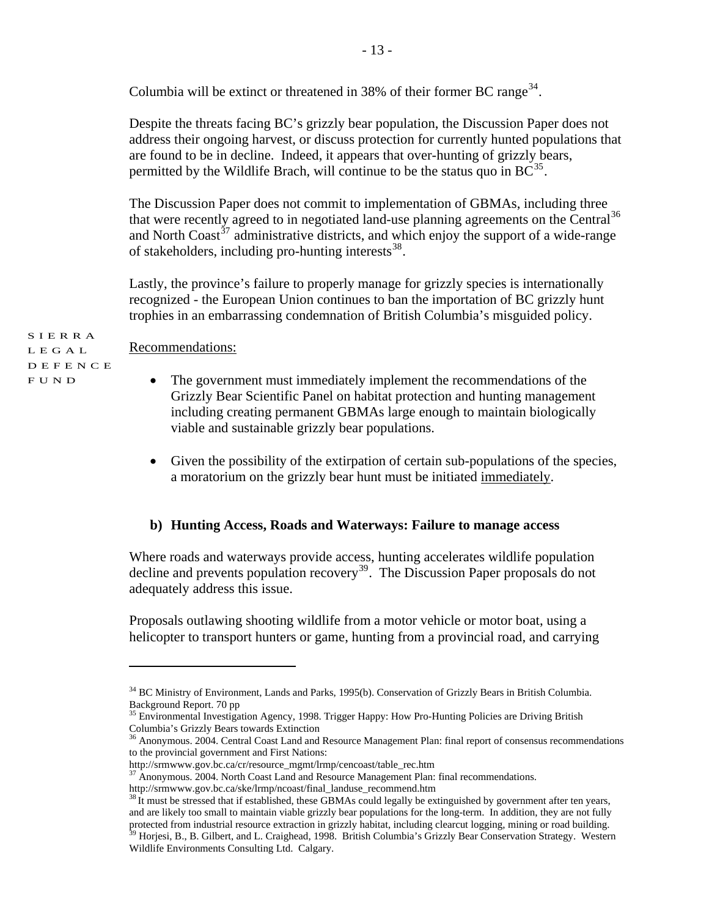Columbia will be extinct or threatened in 38% of their former BC range<sup>[34](#page-12-0)</sup>.

Despite the threats facing BC's grizzly bear population, the Discussion Paper does not address their ongoing harvest, or discuss protection for currently hunted populations that are found to be in decline. Indeed, it appears that over-hunting of grizzly bears, permitted by the Wildlife Brach, will continue to be the status quo in  $BC^{35}$  $BC^{35}$  $BC^{35}$ .

The Discussion Paper does not commit to implementation of GBMAs, including three that were recently agreed to in negotiated land-use planning agreements on the Central<sup>[36](#page-12-2)</sup> and North Coast<sup> $37$ </sup> administrative districts, and which enjoy the support of a wide-range of stakeholders, including pro-hunting interests  $38$ .

Lastly, the province's failure to properly manage for grizzly species is internationally recognized - the European Union continues to ban the importation of BC grizzly hunt trophies in an embarrassing condemnation of British Columbia's misguided policy.

SIERRA LEGAL Recommendations:

 $\overline{a}$ 

DEFENCE FUND

- The government must immediately implement the recommendations of the Grizzly Bear Scientific Panel on habitat protection and hunting management including creating permanent GBMAs large enough to maintain biologically viable and sustainable grizzly bear populations.
	- Given the possibility of the extirpation of certain sub-populations of the species, a moratorium on the grizzly bear hunt must be initiated immediately.

# **b) Hunting Access, Roads and Waterways: Failure to manage access**

Where roads and waterways provide access, hunting accelerates wildlife population decline and prevents population recovery<sup>[39](#page-12-5)</sup>. The Discussion Paper proposals do not adequately address this issue.

Proposals outlawing shooting wildlife from a motor vehicle or motor boat, using a helicopter to transport hunters or game, hunting from a provincial road, and carrying

<span id="page-12-0"></span><sup>&</sup>lt;sup>34</sup> BC Ministry of Environment, Lands and Parks, 1995(b). Conservation of Grizzly Bears in British Columbia. Background Report. 70 pp

<span id="page-12-1"></span><sup>&</sup>lt;sup>35</sup> Environmental Investigation Agency, 1998. Trigger Happy: How Pro-Hunting Policies are Driving British Columbia's Grizzly Bears towards Extinction

<span id="page-12-2"></span><sup>&</sup>lt;sup>36</sup> Anonymous. 2004. Central Coast Land and Resource Management Plan: final report of consensus recommendations to the provincial government and First Nations:

http://srmwww.gov.bc.ca/cr/resource\_mgmt/lrmp/cencoast/table\_rec.htm

<sup>&</sup>lt;sup>37</sup> Anonymous. 2004. North Coast Land and Resource Management Plan: final recommendations.

<span id="page-12-4"></span><span id="page-12-3"></span>http://srmwww.gov.bc.ca/ske/lrmp/ncoast/final\_landuse\_recommend.htm <sup>38</sup> It must be stressed that if established, these GBMAs could legally be extinguished by government after ten years, and are likely too small to maintain viable grizzly bear populations for the long-term. In addition, they are not fully protected from industrial resource extraction in grizzly habitat, including clearcut logging, mining or road building.<br><sup>39</sup> Horjesi, B., B. Gilbert, and L. Craighead, 1998. British Columbia's Grizzly Bear Conservation Stra

<span id="page-12-5"></span>Wildlife Environments Consulting Ltd. Calgary.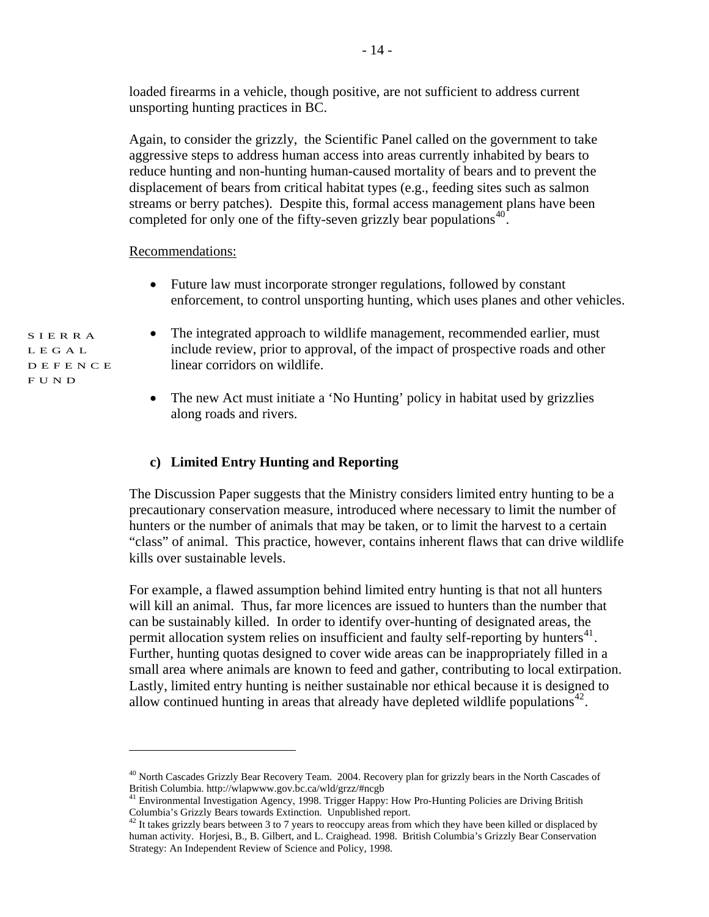loaded firearms in a vehicle, though positive, are not sufficient to address current unsporting hunting practices in BC.

Again, to consider the grizzly, the Scientific Panel called on the government to take aggressive steps to address human access into areas currently inhabited by bears to reduce hunting and non-hunting human-caused mortality of bears and to prevent the displacement of bears from critical habitat types (e.g., feeding sites such as salmon streams or berry patches). Despite this, formal access management plans have been completed for only one of the fifty-seven grizzly bear populations $40$ .

Recommendations:

- Future law must incorporate stronger regulations, followed by constant enforcement, to control unsporting hunting, which uses planes and other vehicles.
- The integrated approach to wildlife management, recommended earlier, must include review, prior to approval, of the impact of prospective roads and other linear corridors on wildlife.
	- The new Act must initiate a 'No Hunting' policy in habitat used by grizzlies along roads and rivers.

# **c) Limited Entry Hunting and Reporting**

The Discussion Paper suggests that the Ministry considers limited entry hunting to be a precautionary conservation measure, introduced where necessary to limit the number of hunters or the number of animals that may be taken, or to limit the harvest to a certain "class" of animal. This practice, however, contains inherent flaws that can drive wildlife kills over sustainable levels.

For example, a flawed assumption behind limited entry hunting is that not all hunters will kill an animal. Thus, far more licences are issued to hunters than the number that can be sustainably killed. In order to identify over-hunting of designated areas, the permit allocation system relies on insufficient and faulty self-reporting by hunters $^{41}$  $^{41}$  $^{41}$ . Further, hunting quotas designed to cover wide areas can be inappropriately filled in a small area where animals are known to feed and gather, contributing to local extirpation. Lastly, limited entry hunting is neither sustainable nor ethical because it is designed to allow continued hunting in areas that already have depleted wildlife populations<sup> $42$ </sup>.

SIERRA LEGAL DEFENCE FUND

<span id="page-13-0"></span><sup>40</sup> North Cascades Grizzly Bear Recovery Team. 2004. Recovery plan for grizzly bears in the North Cascades of British Columbia. http://wlapwww.gov.bc.ca/wld/grzz/#ncgb 41 Environmental Investigation Agency, 1998. Trigger Happy: How Pro-Hunting Policies are Driving British

<span id="page-13-1"></span>Columbia's Grizzly Bears towards Extinction. Unpublished report. 42 It takes grizzly bears between 3 to 7 years to reoccupy areas from which they have been killed or displaced by

<span id="page-13-2"></span>human activity. Horjesi, B., B. Gilbert, and L. Craighead. 1998. British Columbia's Grizzly Bear Conservation Strategy: An Independent Review of Science and Policy, 1998.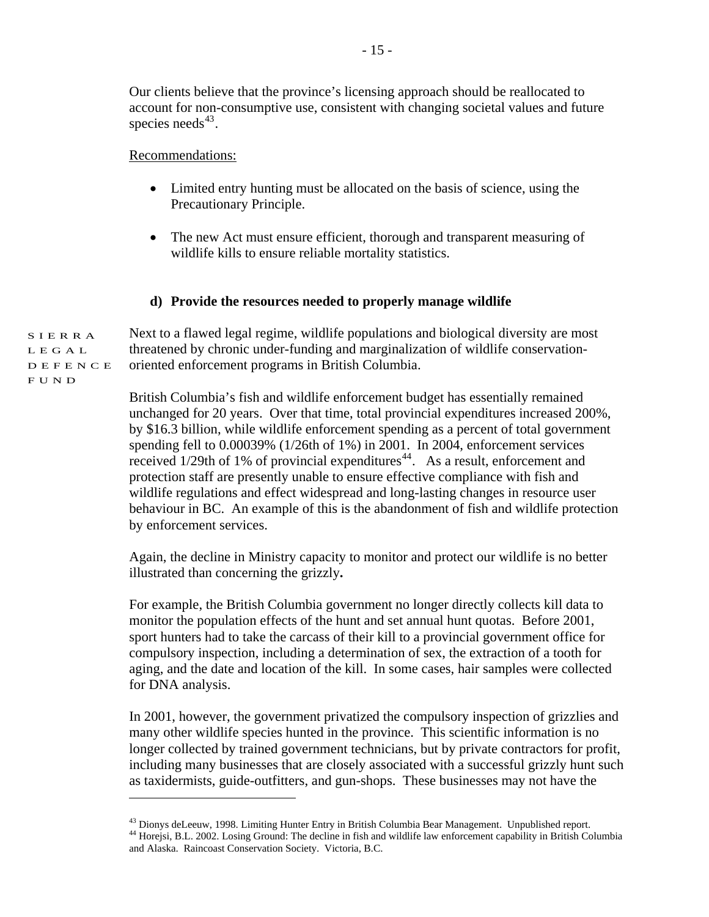Our clients believe that the province's licensing approach should be reallocated to account for non-consumptive use, consistent with changing societal values and future species needs $43$ .

Recommendations:

- Limited entry hunting must be allocated on the basis of science, using the Precautionary Principle.
- The new Act must ensure efficient, thorough and transparent measuring of wildlife kills to ensure reliable mortality statistics.

#### **d) Provide the resources needed to properly manage wildlife**

SIERRA LEGAL DEFENCE Next to a flawed legal regime, wildlife populations and biological diversity are most threatened by chronic under-funding and marginalization of wildlife conservationoriented enforcement programs in British Columbia.

> British Columbia's fish and wildlife enforcement budget has essentially remained unchanged for 20 years. Over that time, total provincial expenditures increased 200%, by \$16.3 billion, while wildlife enforcement spending as a percent of total government spending fell to 0.00039% (1/26th of 1%) in 2001. In 2004, enforcement services received  $1/29$ th of 1% of provincial expenditures<sup>[44](#page-14-1)</sup>. As a result, enforcement and protection staff are presently unable to ensure effective compliance with fish and wildlife regulations and effect widespread and long-lasting changes in resource user behaviour in BC. An example of this is the abandonment of fish and wildlife protection by enforcement services.

Again, the decline in Ministry capacity to monitor and protect our wildlife is no better illustrated than concerning the grizzly**.** 

For example, the British Columbia government no longer directly collects kill data to monitor the population effects of the hunt and set annual hunt quotas. Before 2001, sport hunters had to take the carcass of their kill to a provincial government office for compulsory inspection, including a determination of sex, the extraction of a tooth for aging, and the date and location of the kill. In some cases, hair samples were collected for DNA analysis.

In 2001, however, the government privatized the compulsory inspection of grizzlies and many other wildlife species hunted in the province. This scientific information is no longer collected by trained government technicians, but by private contractors for profit, including many businesses that are closely associated with a successful grizzly hunt such as taxidermists, guide-outfitters, and gun-shops. These businesses may not have the

FUND

<span id="page-14-1"></span><span id="page-14-0"></span><sup>&</sup>lt;sup>43</sup> Dionys deLeeuw, 1998. Limiting Hunter Entry in British Columbia Bear Management. Unpublished report. <sup>44</sup> Horejsi, B.L. 2002. Losing Ground: The decline in fish and wildlife law enforcement capability in British Columbia and Alaska. Raincoast Conservation Society. Victoria, B.C.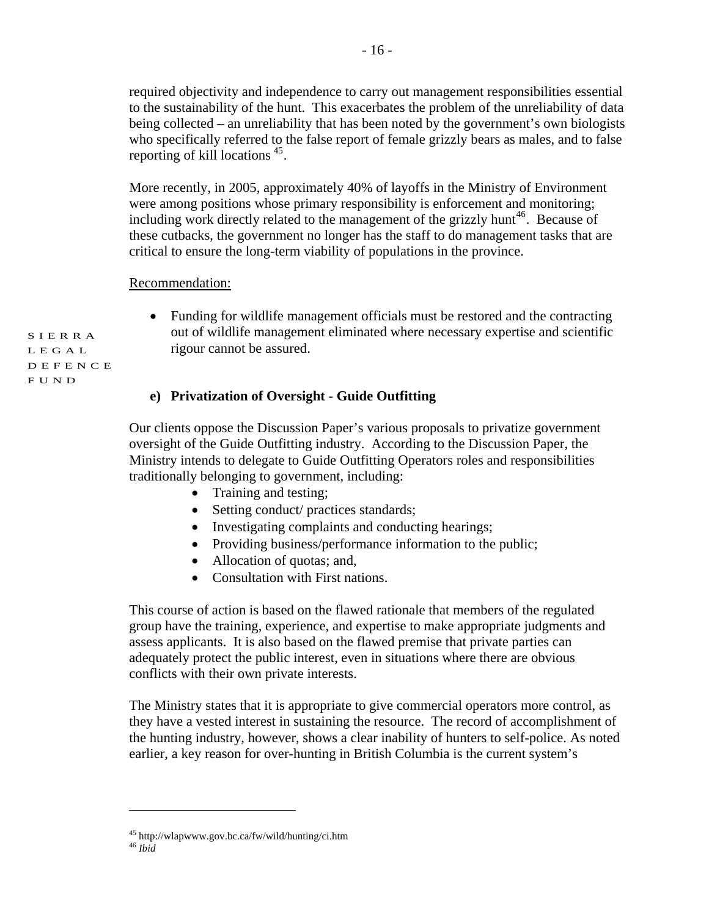required objectivity and independence to carry out management responsibilities essential to the sustainability of the hunt. This exacerbates the problem of the unreliability of data being collected – an unreliability that has been noted by the government's own biologists who specifically referred to the false report of female grizzly bears as males, and to false reporting of kill locations [45.](#page-15-0)

More recently, in 2005, approximately 40% of layoffs in the Ministry of Environment were among positions whose primary responsibility is enforcement and monitoring; including work directly related to the management of the grizzly hunt<sup>[46](#page-15-1)</sup>. Because of these cutbacks, the government no longer has the staff to do management tasks that are critical to ensure the long-term viability of populations in the province.

#### Recommendation:

• Funding for wildlife management officials must be restored and the contracting out of wildlife management eliminated where necessary expertise and scientific rigour cannot be assured.

#### **e) Privatization of Oversight - Guide Outfitting**

Our clients oppose the Discussion Paper's various proposals to privatize government oversight of the Guide Outfitting industry. According to the Discussion Paper, the Ministry intends to delegate to Guide Outfitting Operators roles and responsibilities traditionally belonging to government, including:

- Training and testing;
- Setting conduct/ practices standards;
- Investigating complaints and conducting hearings;
- Providing business/performance information to the public;
- Allocation of quotas; and,
- Consultation with First nations.

This course of action is based on the flawed rationale that members of the regulated group have the training, experience, and expertise to make appropriate judgments and assess applicants. It is also based on the flawed premise that private parties can adequately protect the public interest, even in situations where there are obvious conflicts with their own private interests.

The Ministry states that it is appropriate to give commercial operators more control, as they have a vested interest in sustaining the resource. The record of accomplishment of the hunting industry, however, shows a clear inability of hunters to self-police. As noted earlier, a key reason for over-hunting in British Columbia is the current system's

 $\overline{a}$ 

<span id="page-15-1"></span><span id="page-15-0"></span><sup>45</sup> http://wlapwww.gov.bc.ca/fw/wild/hunting/ci.htm 46 *Ibid*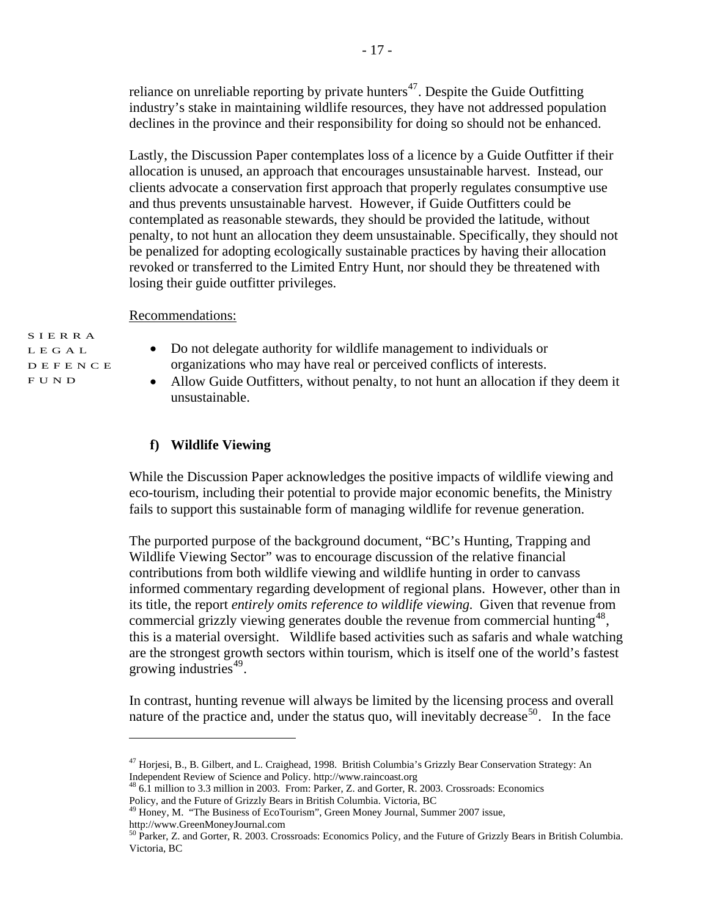reliance on unreliable reporting by private hunters $47$ . Despite the Guide Outfitting industry's stake in maintaining wildlife resources, they have not addressed population declines in the province and their responsibility for doing so should not be enhanced.

Lastly, the Discussion Paper contemplates loss of a licence by a Guide Outfitter if their allocation is unused, an approach that encourages unsustainable harvest. Instead, our clients advocate a conservation first approach that properly regulates consumptive use and thus prevents unsustainable harvest. However, if Guide Outfitters could be contemplated as reasonable stewards, they should be provided the latitude, without penalty, to not hunt an allocation they deem unsustainable. Specifically, they should not be penalized for adopting ecologically sustainable practices by having their allocation revoked or transferred to the Limited Entry Hunt, nor should they be threatened with losing their guide outfitter privileges.

Recommendations:

SIERRA LEGAL DEFENCE FUND

 $\overline{a}$ 

- Do not delegate authority for wildlife management to individuals or organizations who may have real or perceived conflicts of interests.
- Allow Guide Outfitters, without penalty, to not hunt an allocation if they deem it unsustainable.

#### **f) Wildlife Viewing**

While the Discussion Paper acknowledges the positive impacts of wildlife viewing and eco-tourism, including their potential to provide major economic benefits, the Ministry fails to support this sustainable form of managing wildlife for revenue generation.

The purported purpose of the background document, "BC's Hunting, Trapping and Wildlife Viewing Sector" was to encourage discussion of the relative financial contributions from both wildlife viewing and wildlife hunting in order to canvass informed commentary regarding development of regional plans. However, other than in its title, the report *entirely omits reference to wildlife viewing.* Given that revenue from commercial grizzly viewing generates double the revenue from commercial hunting<sup>[48](#page-16-1)</sup>, this is a material oversight. Wildlife based activities such as safaris and whale watching are the strongest growth sectors within tourism, which is itself one of the world's fastest growing industries<sup>[49](#page-16-2)</sup>.

In contrast, hunting revenue will always be limited by the licensing process and overall nature of the practice and, under the status quo, will inevitably decrease<sup>[50](#page-16-3)</sup>. In the face

<span id="page-16-0"></span><sup>47</sup> Horjesi, B., B. Gilbert, and L. Craighead, 1998. British Columbia's Grizzly Bear Conservation Strategy: An Independent Review of Science and Policy. http://www.raincoast.org<br><sup>48</sup> 6.1 million to 3.3 million in 2003. From: Parker, Z. and Gorter, R. 2003. Crossroads: Economics

<span id="page-16-1"></span>Policy, and the Future of Grizzly Bears in British Columbia. Victoria, BC

<span id="page-16-2"></span><sup>49</sup> Honey, M. "The Business of EcoTourism", Green Money Journal, Summer 2007 issue, http://www.GreenMoneyJournal.com

<span id="page-16-3"></span><sup>&</sup>lt;sup>50</sup> Parker, Z. and Gorter, R. 2003. Crossroads: Economics Policy, and the Future of Grizzly Bears in British Columbia. Victoria, BC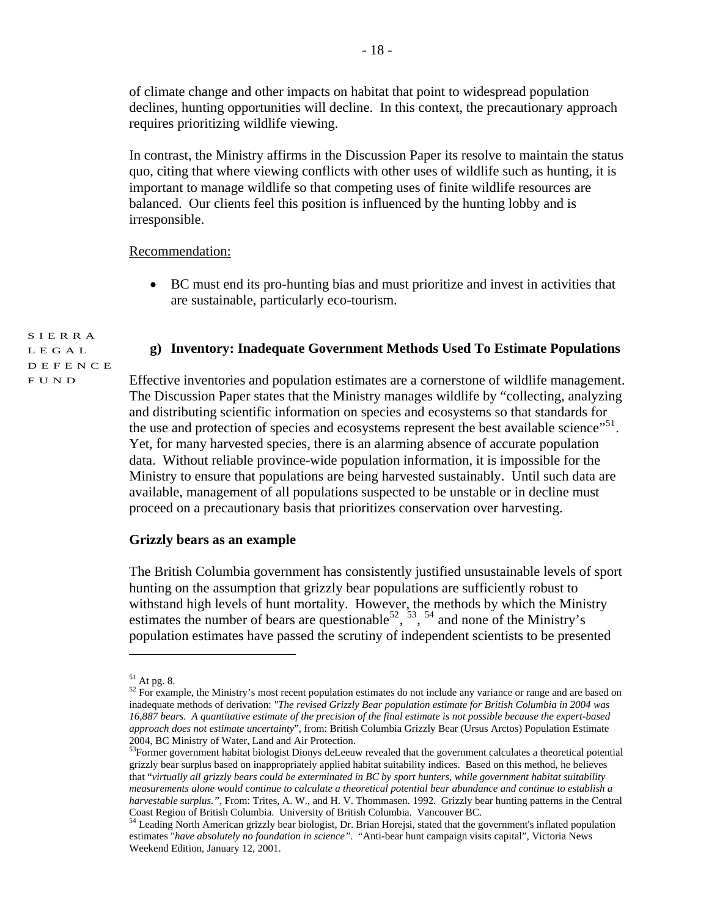of climate change and other impacts on habitat that point to widespread population declines, hunting opportunities will decline. In this context, the precautionary approach requires prioritizing wildlife viewing.

In contrast, the Ministry affirms in the Discussion Paper its resolve to maintain the status quo, citing that where viewing conflicts with other uses of wildlife such as hunting, it is important to manage wildlife so that competing uses of finite wildlife resources are balanced. Our clients feel this position is influenced by the hunting lobby and is irresponsible.

#### Recommendation:

• BC must end its pro-hunting bias and must prioritize and invest in activities that are sustainable, particularly eco-tourism.

# **g) Inventory: Inadequate Government Methods Used To Estimate Populations**

SIERRA LEGAL DEFENCE FUND

Effective inventories and population estimates are a cornerstone of wildlife management. The Discussion Paper states that the Ministry manages wildlife by "collecting, analyzing and distributing scientific information on species and ecosystems so that standards for the use and protection of species and ecosystems represent the best available science"<sup>[51](#page-17-0)</sup>. Yet, for many harvested species, there is an alarming absence of accurate population data. Without reliable province-wide population information, it is impossible for the Ministry to ensure that populations are being harvested sustainably. Until such data are available, management of all populations suspected to be unstable or in decline must proceed on a precautionary basis that prioritizes conservation over harvesting.

#### **Grizzly bears as an example**

The British Columbia government has consistently justified unsustainable levels of sport hunting on the assumption that grizzly bear populations are sufficiently robust to withstand high levels of hunt mortality. However, the methods by which the Ministry estimates the number of bears are questionable  $52, 53, 54$  $52, 53, 54$  $52, 53, 54$  $52, 53, 54$  $52, 53, 54$  and none of the Ministry's population estimates have passed the scrutiny of independent scientists to be presented

 $51$  At pg. 8.

<span id="page-17-1"></span><span id="page-17-0"></span><sup>&</sup>lt;sup>52</sup> For example, the Ministry's most recent population estimates do not include any variance or range and are based on inadequate methods of derivation: *"The revised Grizzly Bear population estimate for British Columbia in 2004 was 16,887 bears. A quantitative estimate of the precision of the final estimate is not possible because the expert-based approach does not estimate uncertainty*", from: British Columbia Grizzly Bear (Ursus Arctos) Population Estimate

<span id="page-17-2"></span><sup>2004,</sup> BC Ministry of Water, Land and Air Protection.<br><sup>53</sup>Former government habitat biologist Dionys deLeeuw revealed that the government calculates a theoretical potential grizzly bear surplus based on inappropriately applied habitat suitability indices. Based on this method, he believes that "*virtually all grizzly bears could be exterminated in BC by sport hunters, while government habitat suitability measurements alone would continue to calculate a theoretical potential bear abundance and continue to establish a harvestable surplus.",* From: Trites, A. W., and H. V. Thommasen. 1992. Grizzly bear hunting patterns in the Central

<span id="page-17-3"></span>Coast Region of British Columbia. University of British Columbia. Vancouver BC. 54 Leading North American grizzly bear biologist, Dr. Brian Horejsi, stated that the government's inflated population estimates "*have absolutely no foundation in science"*. "Anti-bear hunt campaign visits capital", Victoria News Weekend Edition, January 12, 2001.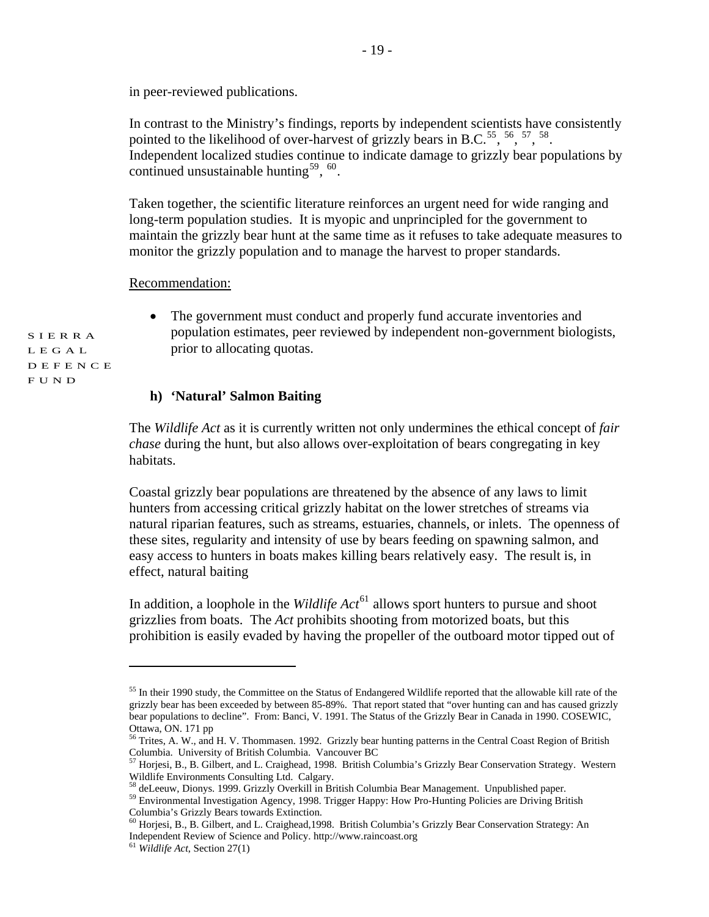in peer-reviewed publications.

In contrast to the Ministry's findings, reports by independent scientists have consistently pointed to the likelihood of over-harvest of grizzly bears in B.C.<sup>[55](#page-18-0)</sup>,  $^{56}$  $^{56}$  $^{56}$ ,  $^{57}$  $^{57}$  $^{57}$ ,  $^{58}$  $^{58}$  $^{58}$ . Independent localized studies continue to indicate damage to grizzly bear populations by continued unsustainable hunting<sup>[59](#page-18-4)</sup>,  $60$ .

Taken together, the scientific literature reinforces an urgent need for wide ranging and long-term population studies. It is myopic and unprincipled for the government to maintain the grizzly bear hunt at the same time as it refuses to take adequate measures to monitor the grizzly population and to manage the harvest to proper standards.

Recommendation:

• The government must conduct and properly fund accurate inventories and population estimates, peer reviewed by independent non-government biologists, prior to allocating quotas.

#### **h) 'Natural' Salmon Baiting**

The *Wildlife Act* as it is currently written not only undermines the ethical concept of *fair chase* during the hunt, but also allows over-exploitation of bears congregating in key habitats.

Coastal grizzly bear populations are threatened by the absence of any laws to limit hunters from accessing critical grizzly habitat on the lower stretches of streams via natural riparian features, such as streams, estuaries, channels, or inlets. The openness of these sites, regularity and intensity of use by bears feeding on spawning salmon, and easy access to hunters in boats makes killing bears relatively easy. The result is, in effect, natural baiting

In addition, a loophole in the *Wildlife*  $Act^{61}$  $Act^{61}$  $Act^{61}$  allows sport hunters to pursue and shoot grizzlies from boats. The *Act* prohibits shooting from motorized boats, but this prohibition is easily evaded by having the propeller of the outboard motor tipped out of

 $\overline{a}$ 

<span id="page-18-0"></span><sup>&</sup>lt;sup>55</sup> In their 1990 study, the Committee on the Status of Endangered Wildlife reported that the allowable kill rate of the grizzly bear has been exceeded by between 85-89%. That report stated that "over hunting can and has caused grizzly bear populations to decline". From: Banci, V. 1991. The Status of the Grizzly Bear in Canada in 1990. COSEWIC, Ottawa, ON. 171 pp

<span id="page-18-1"></span><sup>&</sup>lt;sup>56</sup> Trites, A. W., and H. V. Thommasen. 1992. Grizzly bear hunting patterns in the Central Coast Region of British Columbia. University of British Columbia. Vancouver BC

<span id="page-18-2"></span> $^{57}$  Horjesi, B., B. Gilbert, and L. Craighead, 1998. British Columbia's Grizzly Bear Conservation Strategy. Western Wildlife Environments Consulting Ltd. Calgary.<br><sup>58</sup> deLeeuw, Dionys. 1999. Grizzly Overkill in British Columbia Bear Management. Unpublished paper.

<span id="page-18-3"></span>

<span id="page-18-4"></span><sup>59</sup> Environmental Investigation Agency, 1998. Trigger Happy: How Pro-Hunting Policies are Driving British Columbia's Grizzly Bears towards Extinction.

<span id="page-18-5"></span><sup>60</sup> Horjesi, B., B. Gilbert, and L. Craighead,1998. British Columbia's Grizzly Bear Conservation Strategy: An Independent Review of Science and Policy. http://www.raincoast.org 61 *Wildlife Act*, Section 27(1)

<span id="page-18-6"></span>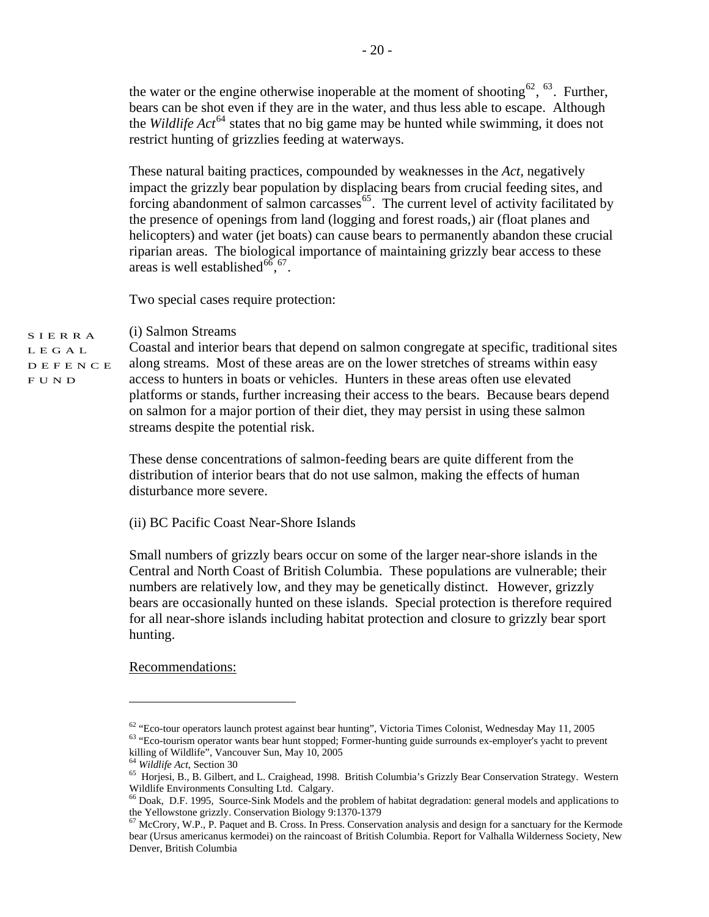the water or the engine otherwise inoperable at the moment of shooting<sup>[62](#page-19-0)</sup>,  $^{63}$  $^{63}$  $^{63}$ . Further, bears can be shot even if they are in the water, and thus less able to escape. Although the *Wildlife Act*[64](#page-19-2) states that no big game may be hunted while swimming, it does not restrict hunting of grizzlies feeding at waterways.

These natural baiting practices, compounded by weaknesses in the *Act,* negatively impact the grizzly bear population by displacing bears from crucial feeding sites, and forcing abandonment of salmon carcasses  $65$ . The current level of activity facilitated by the presence of openings from land (logging and forest roads,) air (float planes and helicopters) and water (jet boats) can cause bears to permanently abandon these crucial riparian areas. The biological importance of maintaining grizzly bear access to these areas is well established<sup>[66](#page-19-4)</sup>,<sup>[67](#page-19-5)</sup>.

Two special cases require protection:

SIERRA (i) Salmon Streams

LEGAL DEFENCE FUND Coastal and interior bears that depend on salmon congregate at specific, traditional sites along streams. Most of these areas are on the lower stretches of streams within easy access to hunters in boats or vehicles. Hunters in these areas often use elevated platforms or stands, further increasing their access to the bears. Because bears depend on salmon for a major portion of their diet, they may persist in using these salmon streams despite the potential risk.

> These dense concentrations of salmon-feeding bears are quite different from the distribution of interior bears that do not use salmon, making the effects of human disturbance more severe.

(ii) BC Pacific Coast Near-Shore Islands

Small numbers of grizzly bears occur on some of the larger near-shore islands in the Central and North Coast of British Columbia. These populations are vulnerable; their numbers are relatively low, and they may be genetically distinct. However, grizzly bears are occasionally hunted on these islands. Special protection is therefore required for all near-shore islands including habitat protection and closure to grizzly bear sport hunting.

Recommendations:

<span id="page-19-0"></span> $62$  "Eco-tour operators launch protest against bear hunting", Victoria Times Colonist, Wednesday May 11, 2005  $63$  "Eco-tourism operator wants bear hunt stopped; Former-hunting guide surrounds ex-employer's yacht to prev

<span id="page-19-1"></span>killing of Wildlife", Vancouver Sun, May  $10$ , 2005<br><sup>64</sup> Wildlife Act, Section 30

<span id="page-19-3"></span><span id="page-19-2"></span><sup>&</sup>lt;sup>65</sup> Horjesi, B., B. Gilbert, and L. Craighead, 1998. British Columbia's Grizzly Bear Conservation Strategy. Western Wildlife Environments Consulting Ltd. Calgary.

<sup>66</sup> Doak, D.F. 1995, Source-Sink Models and the problem of habitat degradation: general models and applications to

<span id="page-19-5"></span><span id="page-19-4"></span>the Yellowstone grizzly. Conservation Biology 9:1370-1379<br><sup>67</sup> McCrory, W.P., P. Paquet and B. Cross. In Press. Conservation analysis and design for a sanctuary for the Kermode bear (Ursus americanus kermodei) on the raincoast of British Columbia. Report for Valhalla Wilderness Society, New Denver, British Columbia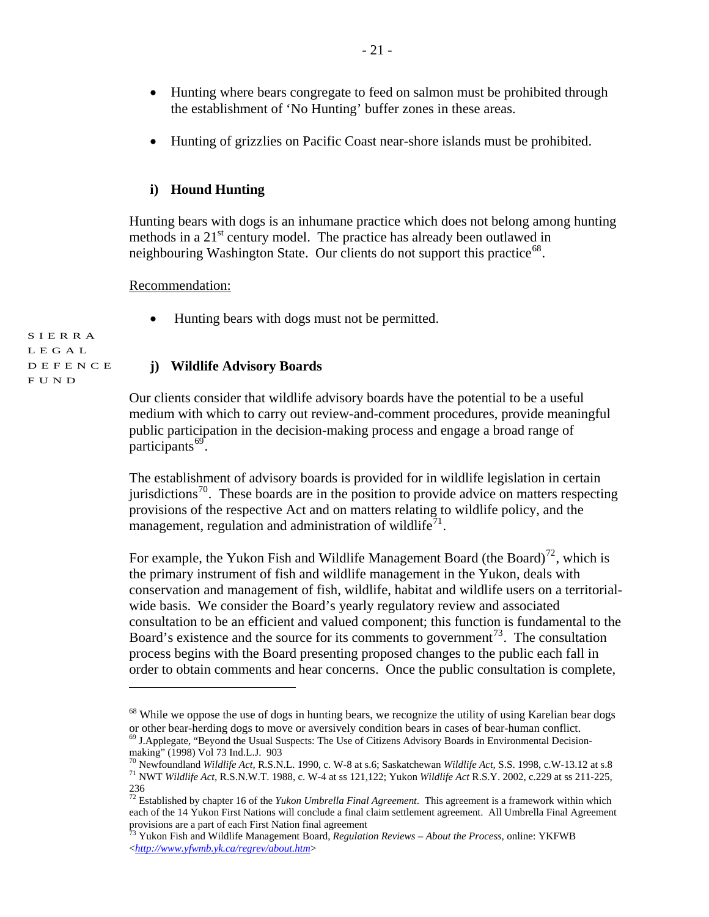- Hunting where bears congregate to feed on salmon must be prohibited through the establishment of 'No Hunting' buffer zones in these areas.
- Hunting of grizzlies on Pacific Coast near-shore islands must be prohibited.

#### **i) Hound Hunting**

Hunting bears with dogs is an inhumane practice which does not belong among hunting methods in a 21<sup>st</sup> century model. The practice has already been outlawed in neighbouring Washington State. Our clients do not support this practice<sup>[68](#page-20-0)</sup>.

#### Recommendation:

 $\overline{a}$ 

• Hunting bears with dogs must not be permitted.

SIERRA LEGAL DEFENCE FUND

#### **j) Wildlife Advisory Boards**

Our clients consider that wildlife advisory boards have the potential to be a useful medium with which to carry out review-and-comment procedures, provide meaningful public participation in the decision-making process and engage a broad range of participants $^{69}$  $^{69}$  $^{69}$ .

The establishment of advisory boards is provided for in wildlife legislation in certain jurisdictions<sup>[70](#page-20-2)</sup>. These boards are in the position to provide advice on matters respecting provisions of the respective Act and on matters relating to wildlife policy, and the management, regulation and administration of wildlife<sup> $1$ </sup>.

For example, the Yukon Fish and Wildlife Management Board (the Board)<sup>[72](#page-20-4)</sup>, which is the primary instrument of fish and wildlife management in the Yukon, deals with conservation and management of fish, wildlife, habitat and wildlife users on a territorialwide basis. We consider the Board's yearly regulatory review and associated consultation to be an efficient and valued component; this function is fundamental to the Board's existence and the source for its comments to government<sup>[73](#page-20-5)</sup>. The consultation process begins with the Board presenting proposed changes to the public each fall in order to obtain comments and hear concerns. Once the public consultation is complete,

<span id="page-20-0"></span><sup>&</sup>lt;sup>68</sup> While we oppose the use of dogs in hunting bears, we recognize the utility of using Karelian bear dogs or other bear-herding dogs to move or aversively condition bears in cases of bear-human conflict.<br><sup>69</sup> J.Applegate, "Beyond the Usual Suspects: The Use of Citizens Advisory Boards in Environmental Decision-

<span id="page-20-1"></span>making" (1998) Vol 73 Ind.L.J. 903<br> $\frac{1}{10}$  Newfoundland *Wildlife Act*, R.S.N.L. 1990, c. W-8 at s.6; Saskatchewan *Wildlife Act*, S.S. 1998, c.W-13.12 at s.8

<span id="page-20-3"></span><span id="page-20-2"></span><sup>&</sup>lt;sup>71</sup> NWT Wildlife Act. R.S.N.W.T. 1988, c. W-4 at ss 121,122; Yukon Wildlife Act R.S.Y. 2002, c.229 at ss 211-225, 236

<span id="page-20-4"></span><sup>&</sup>lt;sup>72</sup> Established by chapter 16 of the *Yukon Umbrella Final Agreement*. This agreement is a framework within which each of the 14 Yukon First Nations will conclude a final claim settlement agreement. All Umbrella Final Agreement provisions are a part of each First Nation final agreement

<span id="page-20-5"></span><sup>73</sup> Yukon Fish and Wildlife Management Board, *Regulation Reviews – About the Process*, online: YKFWB <*<http://www.yfwmb.yk.ca/regrev/about.htm>*>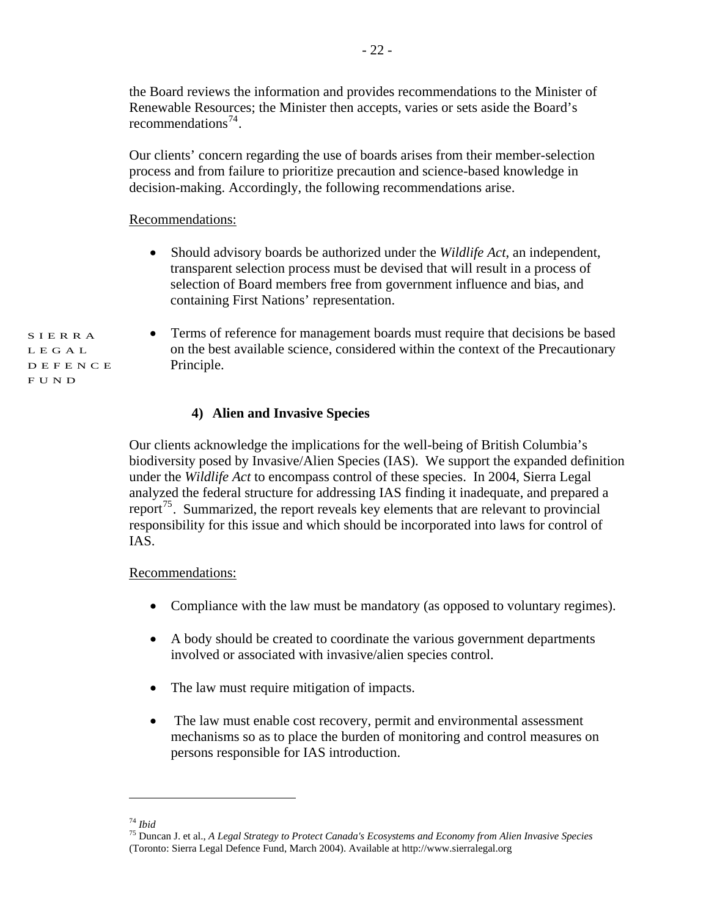the Board reviews the information and provides recommendations to the Minister of Renewable Resources; the Minister then accepts, varies or sets aside the Board's recommendations<sup>[74](#page-21-0)</sup>.

Our clients' concern regarding the use of boards arises from their member-selection process and from failure to prioritize precaution and science-based knowledge in decision-making. Accordingly, the following recommendations arise.

#### Recommendations:

• Should advisory boards be authorized under the *Wildlife Act*, an independent, transparent selection process must be devised that will result in a process of selection of Board members free from government influence and bias, and containing First Nations' representation.

SIERRA LEGAL DEFENCE FUND

• Terms of reference for management boards must require that decisions be based on the best available science, considered within the context of the Precautionary Principle.

#### **4) Alien and Invasive Species**

Our clients acknowledge the implications for the well-being of British Columbia's biodiversity posed by Invasive/Alien Species (IAS). We support the expanded definition under the *Wildlife Act* to encompass control of these species. In 2004, Sierra Legal analyzed the federal structure for addressing IAS finding it inadequate, and prepared a report<sup>[75](#page-21-1)</sup>. Summarized, the report reveals key elements that are relevant to provincial responsibility for this issue and which should be incorporated into laws for control of IAS.

#### Recommendations:

- Compliance with the law must be mandatory (as opposed to voluntary regimes).
- A body should be created to coordinate the various government departments involved or associated with invasive/alien species control.
- The law must require mitigation of impacts.
- The law must enable cost recovery, permit and environmental assessment mechanisms so as to place the burden of monitoring and control measures on persons responsible for IAS introduction.

<span id="page-21-1"></span><span id="page-21-0"></span><sup>74</sup> *Ibid* 75 Duncan J. et al., *A Legal Strategy to Protect Canada's Ecosystems and Economy from Alien Invasive Species*  (Toronto: Sierra Legal Defence Fund, March 2004). Available at http://www.sierralegal.org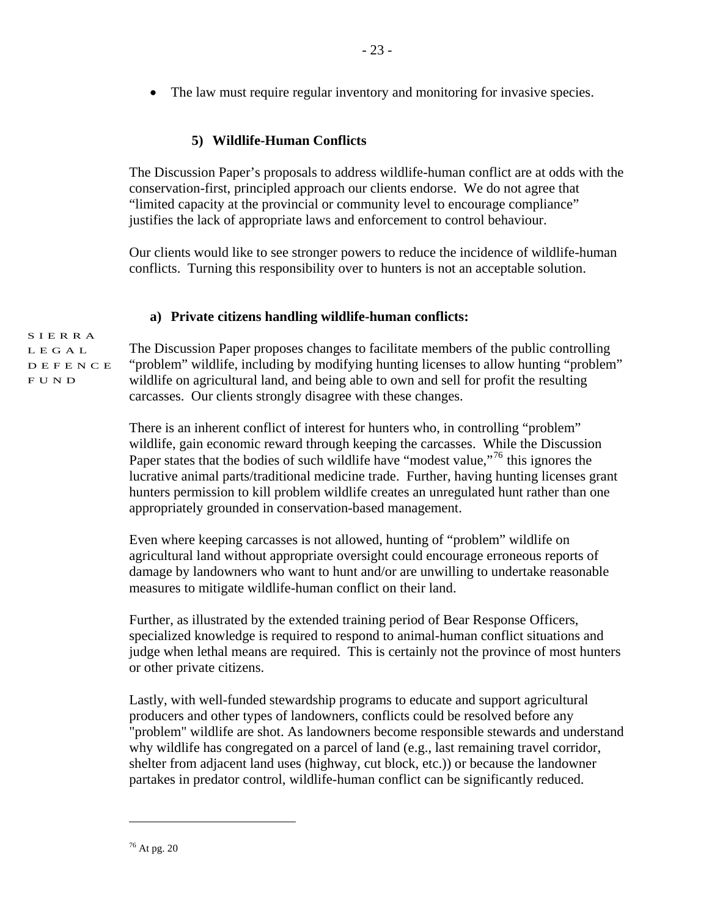• The law must require regular inventory and monitoring for invasive species.

# **5) Wildlife-Human Conflicts**

The Discussion Paper's proposals to address wildlife-human conflict are at odds with the conservation-first, principled approach our clients endorse. We do not agree that "limited capacity at the provincial or community level to encourage compliance" justifies the lack of appropriate laws and enforcement to control behaviour.

Our clients would like to see stronger powers to reduce the incidence of wildlife-human conflicts. Turning this responsibility over to hunters is not an acceptable solution.

# **a) Private citizens handling wildlife-human conflicts:**

SIERRA LEGAL DEFENCE

FUND

The Discussion Paper proposes changes to facilitate members of the public controlling "problem" wildlife, including by modifying hunting licenses to allow hunting "problem" wildlife on agricultural land, and being able to own and sell for profit the resulting carcasses. Our clients strongly disagree with these changes.

There is an inherent conflict of interest for hunters who, in controlling "problem" wildlife, gain economic reward through keeping the carcasses. While the Discussion Paper states that the bodies of such wildlife have "modest value,"<sup>[76](#page-22-0)</sup> this ignores the lucrative animal parts/traditional medicine trade. Further, having hunting licenses grant hunters permission to kill problem wildlife creates an unregulated hunt rather than one appropriately grounded in conservation-based management.

Even where keeping carcasses is not allowed, hunting of "problem" wildlife on agricultural land without appropriate oversight could encourage erroneous reports of damage by landowners who want to hunt and/or are unwilling to undertake reasonable measures to mitigate wildlife-human conflict on their land.

Further, as illustrated by the extended training period of Bear Response Officers, specialized knowledge is required to respond to animal-human conflict situations and judge when lethal means are required. This is certainly not the province of most hunters or other private citizens.

Lastly, with well-funded stewardship programs to educate and support agricultural producers and other types of landowners, conflicts could be resolved before any "problem" wildlife are shot. As landowners become responsible stewards and understand why wildlife has congregated on a parcel of land (e.g., last remaining travel corridor, shelter from adjacent land uses (highway, cut block, etc.)) or because the landowner partakes in predator control, wildlife-human conflict can be significantly reduced.

<span id="page-22-0"></span> $76$  At pg. 20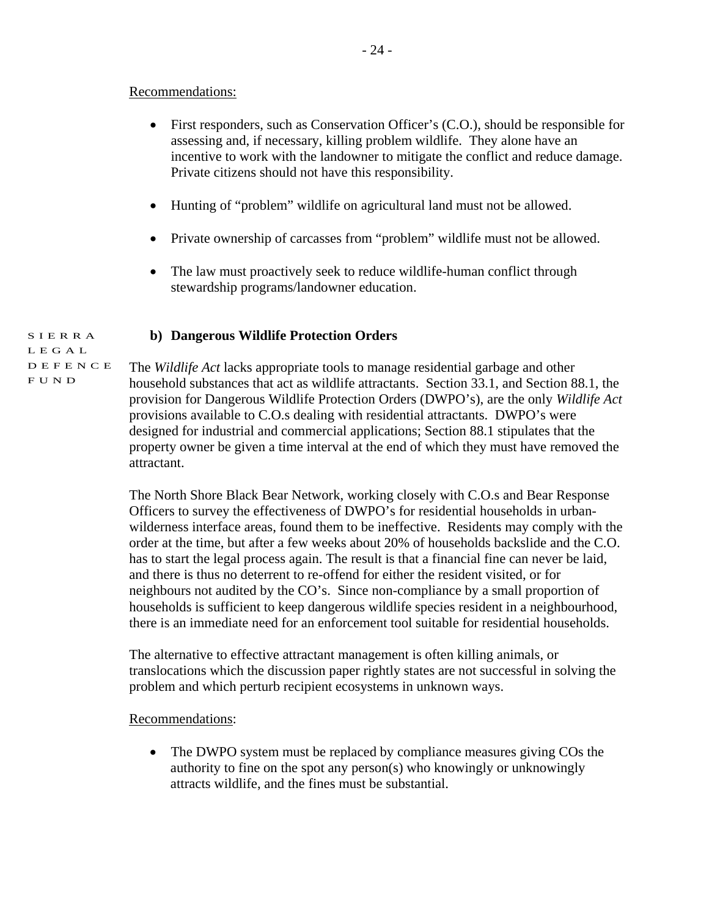#### Recommendations:

- First responders, such as Conservation Officer's (C.O.), should be responsible for assessing and, if necessary, killing problem wildlife. They alone have an incentive to work with the landowner to mitigate the conflict and reduce damage. Private citizens should not have this responsibility.
- Hunting of "problem" wildlife on agricultural land must not be allowed.
- Private ownership of carcasses from "problem" wildlife must not be allowed.
- The law must proactively seek to reduce wildlife-human conflict through stewardship programs/landowner education.

#### SIERRA **b) Dangerous Wildlife Protection Orders**

LEGAL DEFENCE

**FUND** 

The *Wildlife Act* lacks appropriate tools to manage residential garbage and other household substances that act as wildlife attractants. Section 33.1, and Section 88.1, the provision for Dangerous Wildlife Protection Orders (DWPO's), are the only *Wildlife Act* provisions available to C.O.s dealing with residential attractants. DWPO's were designed for industrial and commercial applications; Section 88.1 stipulates that the property owner be given a time interval at the end of which they must have removed the attractant.

The North Shore Black Bear Network, working closely with C.O.s and Bear Response Officers to survey the effectiveness of DWPO's for residential households in urbanwilderness interface areas, found them to be ineffective. Residents may comply with the order at the time, but after a few weeks about 20% of households backslide and the C.O. has to start the legal process again. The result is that a financial fine can never be laid, and there is thus no deterrent to re-offend for either the resident visited, or for neighbours not audited by the CO's. Since non-compliance by a small proportion of households is sufficient to keep dangerous wildlife species resident in a neighbourhood, there is an immediate need for an enforcement tool suitable for residential households.

The alternative to effective attractant management is often killing animals, or translocations which the discussion paper rightly states are not successful in solving the problem and which perturb recipient ecosystems in unknown ways.

Recommendations:

• The DWPO system must be replaced by compliance measures giving COs the authority to fine on the spot any person(s) who knowingly or unknowingly attracts wildlife, and the fines must be substantial.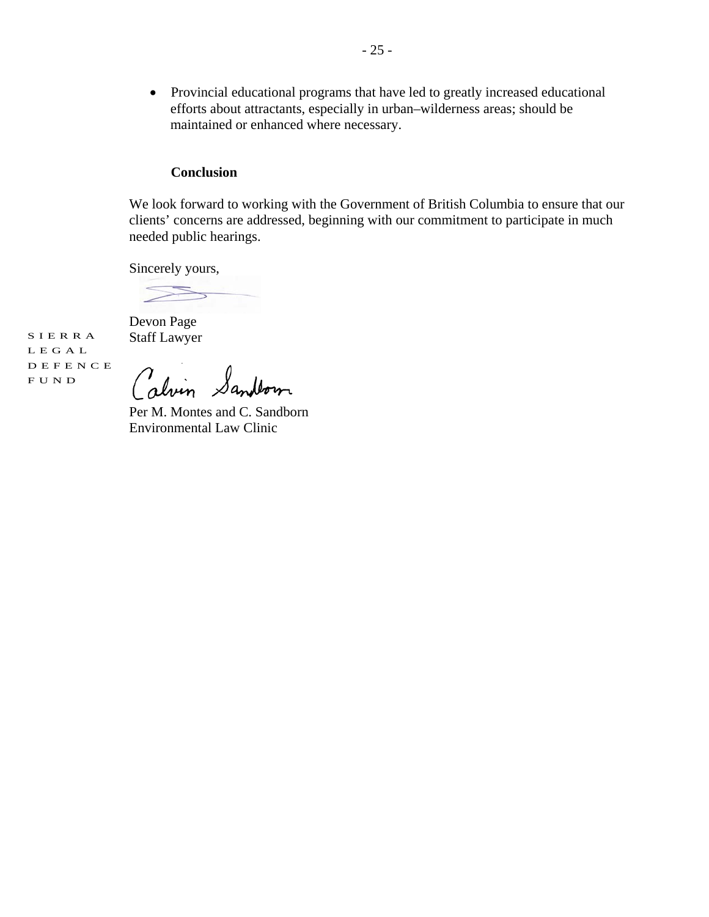• Provincial educational programs that have led to greatly increased educational efforts about attractants, especially in urban–wilderness areas; should be maintained or enhanced where necessary.

#### **Conclusion**

We look forward to working with the Government of British Columbia to ensure that our clients' concerns are addressed, beginning with our commitment to participate in much needed public hearings.

Sincerely yours,

Devon Page SIERRA Staff Lawyer

LEGAL DEFENCE FUND

Calvin Sandtown

Per M. Montes and C. Sandborn Environmental Law Clinic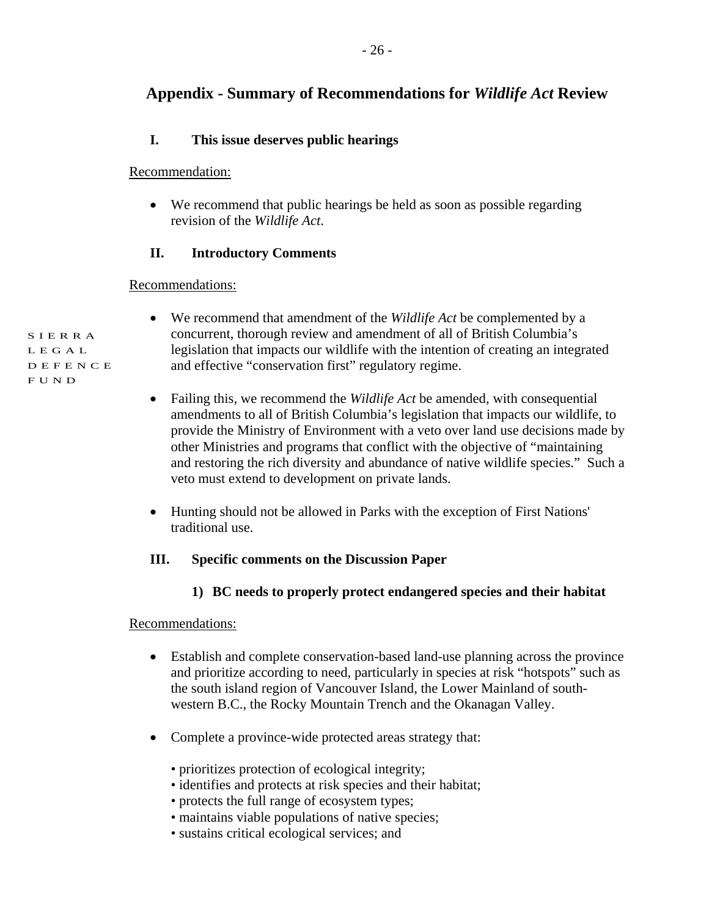# **Appendix - Summary of Recommendations for** *Wildlife Act* **Review**

# **I. This issue deserves public hearings**

### Recommendation:

• We recommend that public hearings be held as soon as possible regarding revision of the *Wildlife Act*.

# **II. Introductory Comments**

# Recommendations:

- We recommend that amendment of the *Wildlife Act* be complemented by a concurrent, thorough review and amendment of all of British Columbia's legislation that impacts our wildlife with the intention of creating an integrated and effective "conservation first" regulatory regime.
- Failing this, we recommend the *Wildlife Act* be amended, with consequential amendments to all of British Columbia's legislation that impacts our wildlife, to provide the Ministry of Environment with a veto over land use decisions made by other Ministries and programs that conflict with the objective of "maintaining and restoring the rich diversity and abundance of native wildlife species." Such a veto must extend to development on private lands.
- Hunting should not be allowed in Parks with the exception of First Nations' traditional use.

# **III. Specific comments on the Discussion Paper**

**1) BC needs to properly protect endangered species and their habitat** 

# Recommendations:

- Establish and complete conservation-based land-use planning across the province and prioritize according to need, particularly in species at risk "hotspots" such as the south island region of Vancouver Island, the Lower Mainland of southwestern B.C., the Rocky Mountain Trench and the Okanagan Valley.
- Complete a province-wide protected areas strategy that:
	- prioritizes protection of ecological integrity;
	- identifies and protects at risk species and their habitat;
	- protects the full range of ecosystem types;
	- maintains viable populations of native species;
	- sustains critical ecological services; and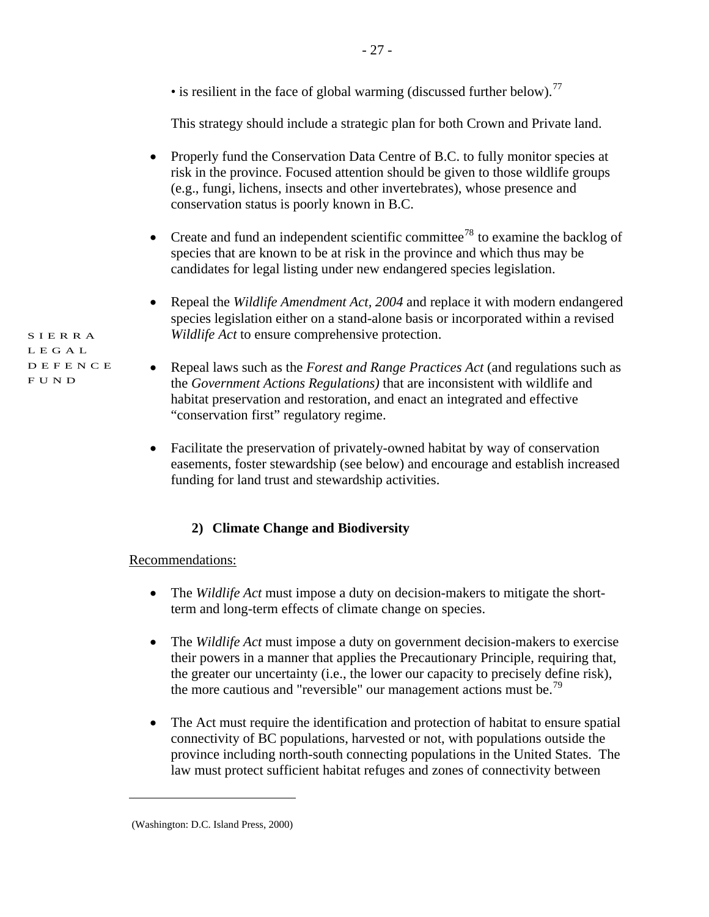|                                 | • is resilient in the face of global warming (discussed further below). <sup>77</sup>                                                                                                                                                                                                            |
|---------------------------------|--------------------------------------------------------------------------------------------------------------------------------------------------------------------------------------------------------------------------------------------------------------------------------------------------|
|                                 | This strategy should include a strategic plan for both Crown and Private land.                                                                                                                                                                                                                   |
| SIERRA                          | Properly fund the Conservation Data Centre of B.C. to fully monitor species at<br>risk in the province. Focused attention should be given to those wildlife groups<br>(e.g., fungi, lichens, insects and other invertebrates), whose presence and<br>conservation status is poorly known in B.C. |
|                                 | Create and fund an independent scientific committee <sup>78</sup> to examine the backlog of<br>species that are known to be at risk in the province and which thus may be<br>candidates for legal listing under new endangered species legislation.                                              |
|                                 | Repeal the Wildlife Amendment Act, 2004 and replace it with modern endangered<br>$\bullet$<br>species legislation either on a stand-alone basis or incorporated within a revised<br>Wildlife Act to ensure comprehensive protection.                                                             |
| L E G A L<br>DEFENCE<br>F U N D | Repeal laws such as the Forest and Range Practices Act (and regulations such as<br>the Government Actions Regulations) that are inconsistent with wildlife and<br>habitat preservation and restoration, and enact an integrated and effective<br>"conservation first" regulatory regime.         |

- 27 -

• Facilitate the preservation of privately-owned habitat by way of conservation easements, foster stewardship (see below) and encourage and establish increased funding for land trust and stewardship activities.

# **2) Climate Change and Biodiversity**

# Recommendations:

- The *Wildlife Act* must impose a duty on decision-makers to mitigate the shortterm and long-term effects of climate change on species.
- The *Wildlife Act* must impose a duty on government decision-makers to exercise their powers in a manner that applies the Precautionary Principle, requiring that, the greater our uncertainty (i.e., the lower our capacity to precisely define risk), the more cautious and "reversible" our management actions must be.<sup>[79](#page-26-2)</sup>
- The Act must require the identification and protection of habitat to ensure spatial connectivity of BC populations, harvested or not, with populations outside the province including north-south connecting populations in the United States. The law must protect sufficient habitat refuges and zones of connectivity between

<span id="page-26-2"></span><span id="page-26-1"></span><span id="page-26-0"></span><sup>(</sup>Washington: D.C. Island Press, 2000)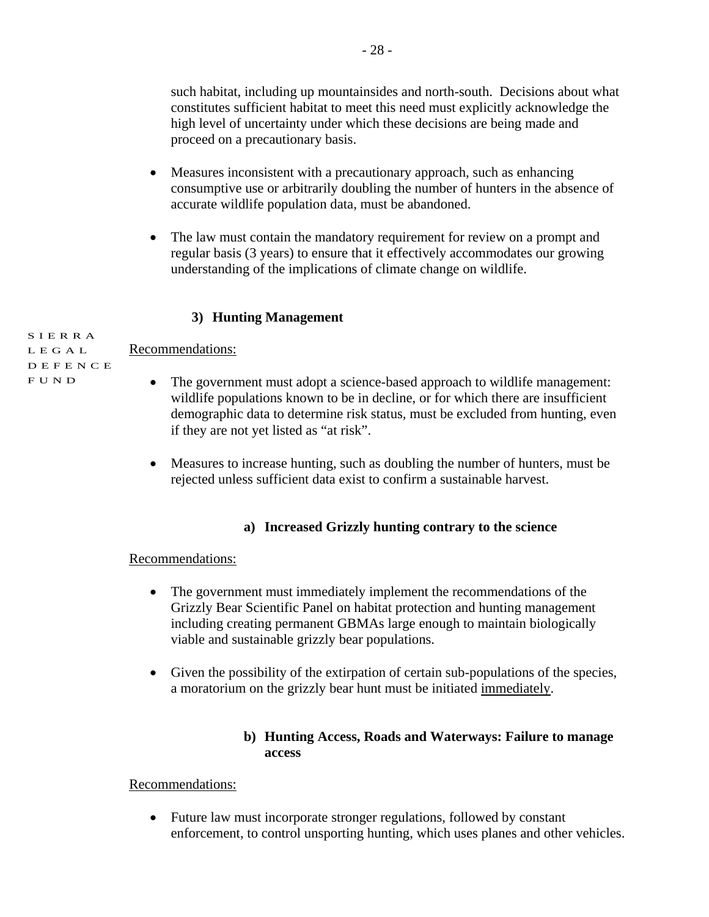such habitat, including up mountainsides and north-south. Decisions about what constitutes sufficient habitat to meet this need must explicitly acknowledge the high level of uncertainty under which these decisions are being made and proceed on a precautionary basis.

- Measures inconsistent with a precautionary approach, such as enhancing consumptive use or arbitrarily doubling the number of hunters in the absence of accurate wildlife population data, must be abandoned.
- The law must contain the mandatory requirement for review on a prompt and regular basis (3 years) to ensure that it effectively accommodates our growing understanding of the implications of climate change on wildlife.

# **3) Hunting Management**

SIERRA LEGAL Recommendations:

DEFENCE

- FUND
- The government must adopt a science-based approach to wildlife management: wildlife populations known to be in decline, or for which there are insufficient demographic data to determine risk status, must be excluded from hunting, even if they are not yet listed as "at risk".
- Measures to increase hunting, such as doubling the number of hunters, must be rejected unless sufficient data exist to confirm a sustainable harvest.

# **a) Increased Grizzly hunting contrary to the science**

#### Recommendations:

- The government must immediately implement the recommendations of the Grizzly Bear Scientific Panel on habitat protection and hunting management including creating permanent GBMAs large enough to maintain biologically viable and sustainable grizzly bear populations.
- Given the possibility of the extirpation of certain sub-populations of the species, a moratorium on the grizzly bear hunt must be initiated immediately.

#### **b) Hunting Access, Roads and Waterways: Failure to manage access**

Recommendations:

• Future law must incorporate stronger regulations, followed by constant enforcement, to control unsporting hunting, which uses planes and other vehicles.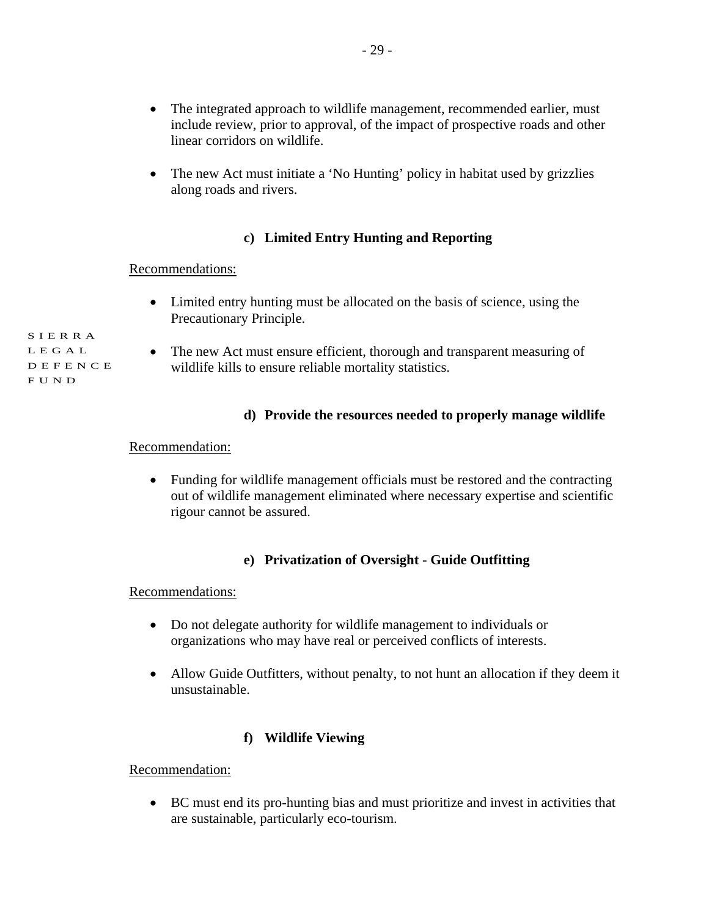- The integrated approach to wildlife management, recommended earlier, must include review, prior to approval, of the impact of prospective roads and other linear corridors on wildlife.
- The new Act must initiate a 'No Hunting' policy in habitat used by grizzlies along roads and rivers.

# **c) Limited Entry Hunting and Reporting**

#### Recommendations:

- Limited entry hunting must be allocated on the basis of science, using the Precautionary Principle.
- The new Act must ensure efficient, thorough and transparent measuring of wildlife kills to ensure reliable mortality statistics.

#### **d) Provide the resources needed to properly manage wildlife**

#### Recommendation:

• Funding for wildlife management officials must be restored and the contracting out of wildlife management eliminated where necessary expertise and scientific rigour cannot be assured.

#### **e) Privatization of Oversight - Guide Outfitting**

Recommendations:

- Do not delegate authority for wildlife management to individuals or organizations who may have real or perceived conflicts of interests.
- Allow Guide Outfitters, without penalty, to not hunt an allocation if they deem it unsustainable.

# **f) Wildlife Viewing**

Recommendation:

• BC must end its pro-hunting bias and must prioritize and invest in activities that are sustainable, particularly eco-tourism.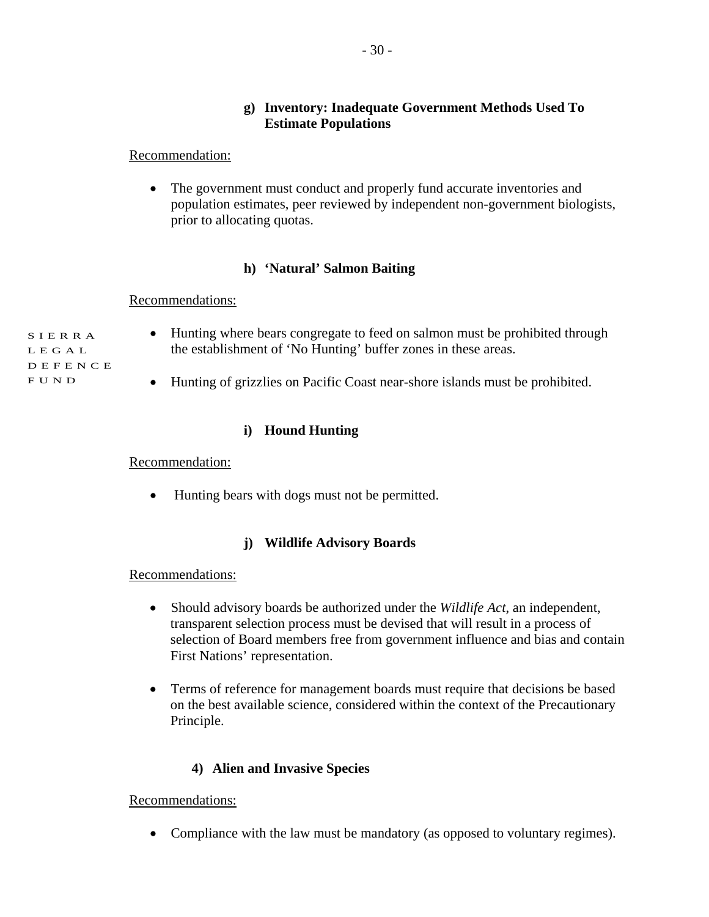# **g) Inventory: Inadequate Government Methods Used To Estimate Populations**

#### Recommendation:

• The government must conduct and properly fund accurate inventories and population estimates, peer reviewed by independent non-government biologists, prior to allocating quotas.

#### **h) 'Natural' Salmon Baiting**

#### Recommendations:

SIERRA LEGAL DEFENCE FUND

- Hunting where bears congregate to feed on salmon must be prohibited through the establishment of 'No Hunting' buffer zones in these areas.
	- Hunting of grizzlies on Pacific Coast near-shore islands must be prohibited.

# **i) Hound Hunting**

#### Recommendation:

• Hunting bears with dogs must not be permitted.

# **j) Wildlife Advisory Boards**

#### Recommendations:

- Should advisory boards be authorized under the *Wildlife Act*, an independent, transparent selection process must be devised that will result in a process of selection of Board members free from government influence and bias and contain First Nations' representation.
- Terms of reference for management boards must require that decisions be based on the best available science, considered within the context of the Precautionary Principle.

# **4) Alien and Invasive Species**

# Recommendations:

• Compliance with the law must be mandatory (as opposed to voluntary regimes).